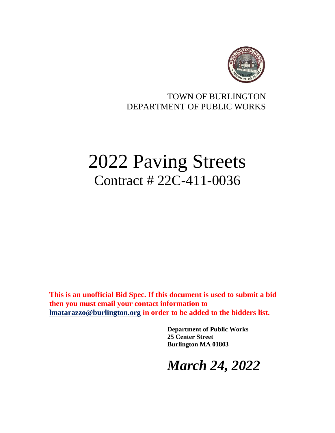

# TOWN OF BURLINGTON DEPARTMENT OF PUBLIC WORKS

# 2022 Paving Streets Contract # 22C-411-0036

**This is an unofficial Bid Spec. If this document is used to submit a bid then you must email your contact information to [lmatarazzo@burlington.org](mailto:lmatarazzo@burlington.org) in order to be added to the bidders list.**

> **Department of Public Works 25 Center Street Burlington MA 01803**

*March 24, 2022*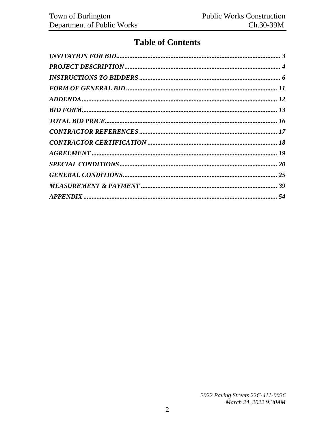# **Table of Contents**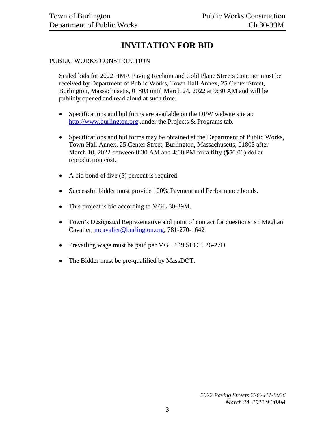# **INVITATION FOR BID**

#### <span id="page-2-0"></span>PUBLIC WORKS CONSTRUCTION

Sealed bids for 2022 HMA Paving Reclaim and Cold Plane Streets Contract must be received by Department of Public Works, Town Hall Annex, 25 Center Street, Burlington, Massachusetts, 01803 until March 24, 2022 at 9:30 AM and will be publicly opened and read aloud at such time.

- Specifications and bid forms are available on the DPW website site at: [http://www.burlington.org](http://www.burlington.org/) ,under the Projects & Programs tab.
- Specifications and bid forms may be obtained at the Department of Public Works, Town Hall Annex, 25 Center Street, Burlington, Massachusetts, 01803 after March 10, 2022 between 8:30 AM and 4:00 PM for a fifty (\$50.00) dollar reproduction cost.
- A bid bond of five (5) percent is required.
- Successful bidder must provide 100% Payment and Performance bonds.
- This project is bid according to MGL 30-39M.
- Town's Designated Representative and point of contact for questions is : Meghan Cavalier, [mcavalier@burlington.org,](mailto:mcavalier@burlington.org) 781-270-1642
- Prevailing wage must be paid per MGL 149 SECT. 26-27D
- The Bidder must be pre-qualified by MassDOT.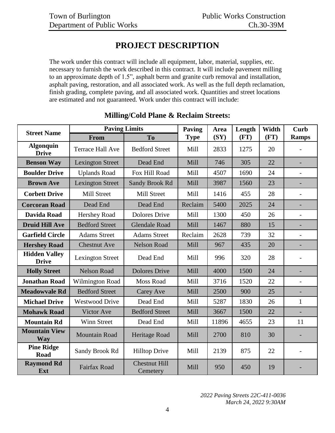# **PROJECT DESCRIPTION**

<span id="page-3-0"></span>The work under this contract will include all equipment, labor, material, supplies, etc. necessary to furnish the work described in this contract. It will include pavement milling to an approximate depth of 1.5", asphalt berm and granite curb removal and installation, asphalt paving, restoration, and all associated work. As well as the full depth reclamation, finish grading, complete paving, and all associated work. Quantities and street locations are estimated and not guaranteed. Work under this contract will include:

| <b>Street Name</b>                   | <b>Paving Limits</b>                       |                                  | Paving      | Area  | Length | Width | Curb                     |
|--------------------------------------|--------------------------------------------|----------------------------------|-------------|-------|--------|-------|--------------------------|
|                                      | To<br>From                                 |                                  | <b>Type</b> | (SY)  | (FT)   | (FT)  | <b>Ramps</b>             |
| <b>Algonquin</b><br><b>Drive</b>     | <b>Terrace Hall Ave</b>                    | <b>Bedford Street</b>            | Mill        | 2833  | 1275   | 20    |                          |
| <b>Benson Way</b>                    | <b>Lexington Street</b>                    | Dead End                         | Mill        | 746   | 305    | 22    | ÷,                       |
| <b>Boulder Drive</b>                 | <b>Uplands Road</b>                        | Fox Hill Road                    | Mill        | 4507  | 1690   | 24    | $\overline{\phantom{0}}$ |
| <b>Brown Ave</b>                     | <b>Lexington Street</b>                    | <b>Sandy Brook Rd</b>            | Mill        | 3987  | 1560   | 23    |                          |
| <b>Corbett Drive</b>                 | Mill Street                                | Mill Street                      | Mill        | 1416  | 455    | 28    | $\overline{a}$           |
| <b>Corcoran Road</b>                 | Dead End                                   | Dead End                         | Reclaim     | 5400  | 2025   | 24    | $\overline{a}$           |
| Davida Road                          | <b>Hershey Road</b>                        | <b>Dolores Drive</b>             | Mill        | 1300  | 450    | 26    | $\overline{\phantom{0}}$ |
| <b>Druid Hill Ave</b>                | <b>Bedford Street</b>                      | <b>Glendale Road</b>             | Mill        | 1467  | 880    | 15    | ÷,                       |
| <b>Garfield Circle</b>               | <b>Adams Street</b>                        | <b>Adams Street</b>              | Reclaim     | 2628  | 739    | 32    | $\overline{\phantom{0}}$ |
| <b>Hershey Road</b>                  | <b>Chestnut Ave</b>                        | <b>Nelson Road</b>               | Mill        | 967   | 435    | 20    | L,                       |
| <b>Hidden Valley</b><br><b>Drive</b> | <b>Lexington Street</b>                    | Dead End                         | Mill        | 996   | 320    | 28    |                          |
| <b>Holly Street</b>                  | <b>Nelson Road</b><br><b>Dolores Drive</b> |                                  | Mill        | 4000  | 1500   | 24    | ÷,                       |
| <b>Jonathan Road</b>                 | Wilmington Road                            | <b>Moss Road</b>                 | Mill        | 3716  | 1520   | 22    | $\overline{a}$           |
| <b>Meadowyale Rd</b>                 | <b>Bedford Street</b>                      | Carey Ave                        | Mill        | 2500  | 900    | 25    | $\overline{\phantom{0}}$ |
| <b>Michael Drive</b>                 | <b>Westwood Drive</b>                      | Dead End                         | Mill        | 5287  | 1830   | 26    | $\mathbf{1}$             |
| <b>Mohawk Road</b>                   | Victor Ave                                 | <b>Bedford Street</b>            | Mill        | 3667  | 1500   | 22    | $\overline{a}$           |
| <b>Mountain Rd</b>                   | Winn Street                                | Dead End                         | Mill        | 11896 | 4655   | 23    | 11                       |
| <b>Mountain View</b><br>Way          | <b>Mountain Road</b>                       | Heritage Road                    | Mill        | 2700  | 810    | 30    |                          |
| <b>Pine Ridge</b><br>Road            | Sandy Brook Rd                             | <b>Hilltop Drive</b>             | Mill        | 2139  | 875    | 22    |                          |
| <b>Raymond Rd</b><br>Ext             | <b>Fairfax Road</b>                        | <b>Chestnut Hill</b><br>Cemetery | Mill        | 950   | 450    | 19    |                          |

# **Milling/Cold Plane & Reclaim Streets:**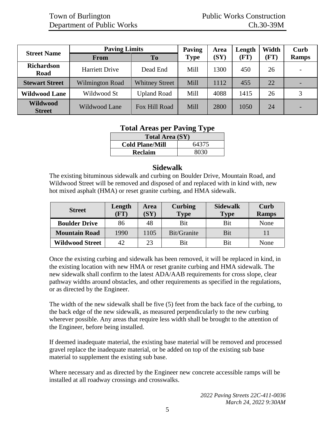| <b>Street Name</b>               | <b>Paving Limits</b>   | Paving                | Area        | Length | Width | Curb |              |
|----------------------------------|------------------------|-----------------------|-------------|--------|-------|------|--------------|
|                                  | <b>From</b>            | <b>To</b>             | <b>Type</b> | (SY)   | (FT)  | (FT) | <b>Ramps</b> |
| <b>Richardson</b><br>Road        | <b>Harriett Drive</b>  | Dead End              | Mill        | 1300   | 450   | 26   |              |
| <b>Stewart Street</b>            | <b>Wilmington Road</b> | <b>Whitney Street</b> | Mill        | 1112   | 455   | 22   |              |
| <b>Wildwood Lane</b>             | Wildwood St            | <b>Upland Road</b>    | Mill        | 4088   | 1415  | 26   |              |
| <b>Wildwood</b><br><b>Street</b> | Wildwood Lane          | Fox Hill Road         | Mill        | 2800   | 1050  | 24   |              |

### **Total Areas per Paving Type**

| <b>Total Area (SY)</b> |       |  |
|------------------------|-------|--|
| <b>Cold Plane/Mill</b> | 64375 |  |
| <b>Reclaim</b>         | 8030  |  |

#### **Sidewalk**

The existing bituminous sidewalk and curbing on Boulder Drive, Mountain Road, and Wildwood Street will be removed and disposed of and replaced with in kind with, new hot mixed asphalt (HMA) or reset granite curbing, and HMA sidewalk.

| <b>Street</b>          | Length<br>$(\text{FT})$ | <b>Area</b><br>$\bf (SY$ | <b>Curbing</b><br><b>Type</b> | <b>Sidewalk</b><br><b>Type</b> | Curb<br><b>Ramps</b> |
|------------------------|-------------------------|--------------------------|-------------------------------|--------------------------------|----------------------|
| <b>Boulder Drive</b>   | 86                      | 48                       | Bit                           | Bit                            | None                 |
| <b>Mountain Road</b>   | 1990                    | 1105                     | Bit/Granite                   | Bit                            |                      |
| <b>Wildwood Street</b> | 42                      | 23                       | Bit                           | Bit                            | None                 |

Once the existing curbing and sidewalk has been removed, it will be replaced in kind, in the existing location with new HMA or reset granite curbing and HMA sidewalk. The new sidewalk shall confirm to the latest ADA/AAB requirements for cross slope, clear pathway widths around obstacles, and other requirements as specified in the regulations, or as directed by the Engineer.

The width of the new sidewalk shall be five (5) feet from the back face of the curbing, to the back edge of the new sidewalk, as measured perpendicularly to the new curbing wherever possible. Any areas that require less width shall be brought to the attention of the Engineer, before being installed.

If deemed inadequate material, the existing base material will be removed and processed gravel replace the inadequate material, or be added on top of the existing sub base material to supplement the existing sub base.

Where necessary and as directed by the Engineer new concrete accessible ramps will be installed at all roadway crossings and crosswalks.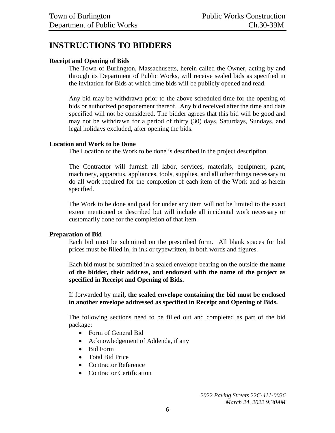# <span id="page-5-0"></span>**INSTRUCTIONS TO BIDDERS**

#### **Receipt and Opening of Bids**

The Town of Burlington, Massachusetts, herein called the Owner, acting by and through its Department of Public Works, will receive sealed bids as specified in the invitation for Bids at which time bids will be publicly opened and read.

Any bid may be withdrawn prior to the above scheduled time for the opening of bids or authorized postponement thereof. Any bid received after the time and date specified will not be considered. The bidder agrees that this bid will be good and may not be withdrawn for a period of thirty (30) days, Saturdays, Sundays, and legal holidays excluded, after opening the bids.

#### **Location and Work to be Done**

The Location of the Work to be done is described in the project description.

The Contractor will furnish all labor, services, materials, equipment, plant, machinery, apparatus, appliances, tools, supplies, and all other things necessary to do all work required for the completion of each item of the Work and as herein specified.

The Work to be done and paid for under any item will not be limited to the exact extent mentioned or described but will include all incidental work necessary or customarily done for the completion of that item.

#### **Preparation of Bid**

Each bid must be submitted on the prescribed form. All blank spaces for bid prices must be filled in, in ink or typewritten, in both words and figures.

Each bid must be submitted in a sealed envelope bearing on the outside **the name of the bidder, their address, and endorsed with the name of the project as specified in Receipt and Opening of Bids.**

If forwarded by mail**, the sealed envelope containing the bid must be enclosed in another envelope addressed as specified in Receipt and Opening of Bids.**

The following sections need to be filled out and completed as part of the bid package;

- Form of General Bid
- Acknowledgement of Addenda, if any
- Bid Form
- Total Bid Price
- Contractor Reference
- Contractor Certification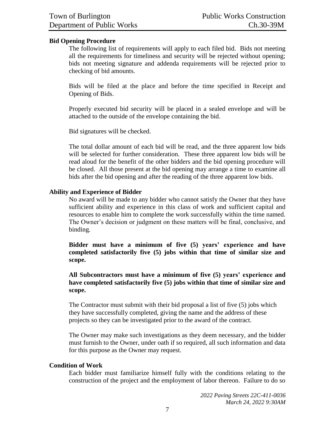#### **Bid Opening Procedure**

The following list of requirements will apply to each filed bid. Bids not meeting all the requirements for timeliness and security will be rejected without opening; bids not meeting signature and addenda requirements will be rejected prior to checking of bid amounts.

Bids will be filed at the place and before the time specified in Receipt and Opening of Bids.

Properly executed bid security will be placed in a sealed envelope and will be attached to the outside of the envelope containing the bid.

Bid signatures will be checked.

The total dollar amount of each bid will be read, and the three apparent low bids will be selected for further consideration. These three apparent low bids will be read aloud for the benefit of the other bidders and the bid opening procedure will be closed. All those present at the bid opening may arrange a time to examine all bids after the bid opening and after the reading of the three apparent low bids.

#### **Ability and Experience of Bidder**

No award will be made to any bidder who cannot satisfy the Owner that they have sufficient ability and experience in this class of work and sufficient capital and resources to enable him to complete the work successfully within the time named. The Owner's decision or judgment on these matters will be final, conclusive, and binding.

**Bidder must have a minimum of five (5) years' experience and have completed satisfactorily five (5) jobs within that time of similar size and scope.**

**All Subcontractors must have a minimum of five (5) years' experience and have completed satisfactorily five (5) jobs within that time of similar size and scope.**

The Contractor must submit with their bid proposal a list of five (5) jobs which they have successfully completed, giving the name and the address of these projects so they can be investigated prior to the award of the contract.

The Owner may make such investigations as they deem necessary, and the bidder must furnish to the Owner, under oath if so required, all such information and data for this purpose as the Owner may request.

#### **Condition of Work**

Each bidder must familiarize himself fully with the conditions relating to the construction of the project and the employment of labor thereon. Failure to do so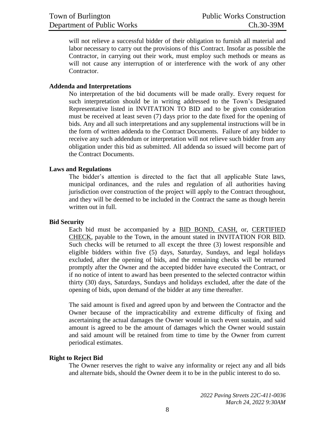will not relieve a successful bidder of their obligation to furnish all material and labor necessary to carry out the provisions of this Contract. Insofar as possible the Contractor, in carrying out their work, must employ such methods or means as will not cause any interruption of or interference with the work of any other Contractor.

#### **Addenda and Interpretations**

No interpretation of the bid documents will be made orally. Every request for such interpretation should be in writing addressed to the Town's Designated Representative listed in INVITATION TO BID and to be given consideration must be received at least seven (7) days prior to the date fixed for the opening of bids. Any and all such interpretations and any supplemental instructions will be in the form of written addenda to the Contract Documents. Failure of any bidder to receive any such addendum or interpretation will not relieve such bidder from any obligation under this bid as submitted. All addenda so issued will become part of the Contract Documents.

#### **Laws and Regulations**

The bidder's attention is directed to the fact that all applicable State laws, municipal ordinances, and the rules and regulation of all authorities having jurisdiction over construction of the project will apply to the Contract throughout, and they will be deemed to be included in the Contract the same as though herein written out in full.

#### **Bid Security**

Each bid must be accompanied by a BID BOND, CASH, or, CERTIFIED CHECK, payable to the Town, in the amount stated in INVITATION FOR BID. Such checks will be returned to all except the three (3) lowest responsible and eligible bidders within five (5) days, Saturday, Sundays, and legal holidays excluded, after the opening of bids, and the remaining checks will be returned promptly after the Owner and the accepted bidder have executed the Contract, or if no notice of intent to award has been presented to the selected contractor within thirty (30) days, Saturdays, Sundays and holidays excluded, after the date of the opening of bids, upon demand of the bidder at any time thereafter.

The said amount is fixed and agreed upon by and between the Contractor and the Owner because of the impracticability and extreme difficulty of fixing and ascertaining the actual damages the Owner would in such event sustain, and said amount is agreed to be the amount of damages which the Owner would sustain and said amount will be retained from time to time by the Owner from current periodical estimates.

#### **Right to Reject Bid**

The Owner reserves the right to waive any informality or reject any and all bids and alternate bids, should the Owner deem it to be in the public interest to do so.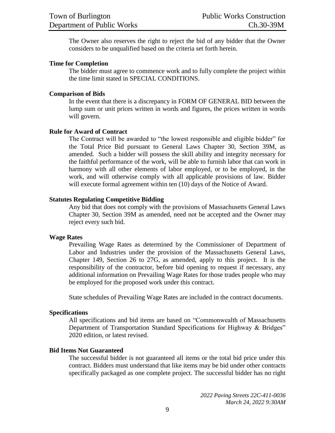The Owner also reserves the right to reject the bid of any bidder that the Owner considers to be unqualified based on the criteria set forth herein.

#### **Time for Completion**

The bidder must agree to commence work and to fully complete the project within the time limit stated in SPECIAL CONDITIONS.

#### **Comparison of Bids**

In the event that there is a discrepancy in FORM OF GENERAL BID between the lump sum or unit prices written in words and figures, the prices written in words will govern.

#### **Rule for Award of Contract**

The Contract will be awarded to "the lowest responsible and eligible bidder" for the Total Price Bid pursuant to General Laws Chapter 30, Section 39M, as amended. Such a bidder will possess the skill ability and integrity necessary for the faithful performance of the work, will be able to furnish labor that can work in harmony with all other elements of labor employed, or to be employed, in the work, and will otherwise comply with all applicable provisions of law. Bidder will execute formal agreement within ten (10) days of the Notice of Award.

#### **Statutes Regulating Competitive Bidding**

Any bid that does not comply with the provisions of Massachusetts General Laws Chapter 30, Section 39M as amended, need not be accepted and the Owner may reject every such bid.

#### **Wage Rates**

Prevailing Wage Rates as determined by the Commissioner of Department of Labor and Industries under the provision of the Massachusetts General Laws, Chapter 149, Section 26 to 27G, as amended, apply to this project. It is the responsibility of the contractor, before bid opening to request if necessary, any additional information on Prevailing Wage Rates for those trades people who may be employed for the proposed work under this contract.

State schedules of Prevailing Wage Rates are included in the contract documents.

#### **Specifications**

All specifications and bid items are based on "Commonwealth of Massachusetts Department of Transportation Standard Specifications for Highway & Bridges" 2020 edition, or latest revised.

#### **Bid Items Not Guaranteed**

The successful bidder is not guaranteed all items or the total bid price under this contract. Bidders must understand that like items may be bid under other contracts specifically packaged as one complete project. The successful bidder has no right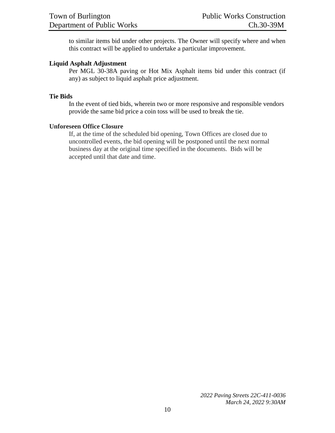to similar items bid under other projects. The Owner will specify where and when this contract will be applied to undertake a particular improvement.

#### **Liquid Asphalt Adjustment**

Per MGL 30-38A paving or Hot Mix Asphalt items bid under this contract (if any) as subject to liquid asphalt price adjustment.

#### **Tie Bids**

In the event of tied bids, wherein two or more responsive and responsible vendors provide the same bid price a coin toss will be used to break the tie.

#### **Unforeseen Office Closure**

If, at the time of the scheduled bid opening, Town Offices are closed due to uncontrolled events, the bid opening will be postponed until the next normal business day at the original time specified in the documents. Bids will be accepted until that date and time.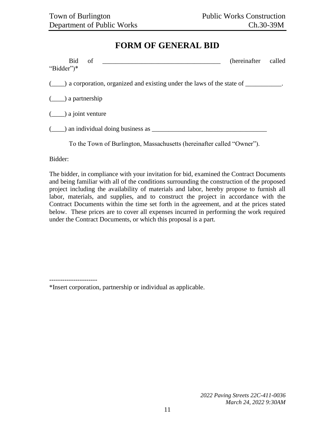# **FORM OF GENERAL BID**

<span id="page-10-0"></span>

| Bid of<br>"Bidder")*                                                                                 | (hereinafter called |  |
|------------------------------------------------------------------------------------------------------|---------------------|--|
| $(\_\_\_\)$ a corporation, organized and existing under the laws of the state of $\_\_\_\_\_\_\_\$ . |                     |  |
| $(\underline{\hspace{1cm}})$ a partnership                                                           |                     |  |
| $(\underline{\hspace{1cm}})$ a joint venture                                                         |                     |  |
| $(\_\_\)$ an individual doing business as $\_\_\_\_\_\_\_\_\_\_$                                     |                     |  |
|                                                                                                      |                     |  |

To the Town of Burlington, Massachusetts (hereinafter called "Owner").

Bidder:

The bidder, in compliance with your invitation for bid, examined the Contract Documents and being familiar with all of the conditions surrounding the construction of the proposed project including the availability of materials and labor, hereby propose to furnish all labor, materials, and supplies, and to construct the project in accordance with the Contract Documents within the time set forth in the agreement, and at the prices stated below. These prices are to cover all expenses incurred in performing the work required under the Contract Documents, or which this proposal is a part.

----------------------

\*Insert corporation, partnership or individual as applicable.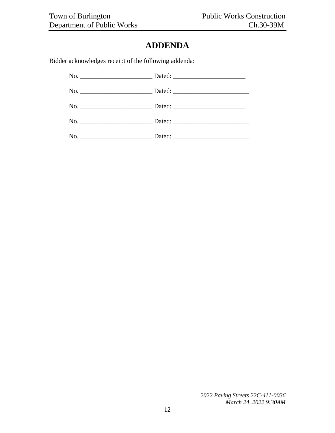# **ADDENDA**

<span id="page-11-0"></span>Bidder acknowledges receipt of the following addenda: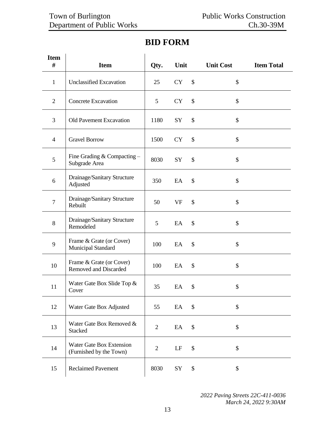# <span id="page-12-0"></span>**Item # Item Qty. Unit Unit Cost Item Total** 1 Unclassified Excavation 25 CY \$ \$ 2 Concrete Excavation 1 5 CY \$ \$ 3 Old Pavement Excavation 1180 SY \$ \$ 4 Gravel Borrow 1500 CY \$ \$ 5 Fine Grading & Compacting – Fine Grading  $\alpha$  Compacting  $-$  8030 SY \$ \$ 6 Drainage/Sanitary Structure Adjusted <sup>350</sup> EA \$ \$ 7 Drainage/Sanitary Structure Dramage/Saintary Structure 50 VF \$ \$ 8 Drainage/Sanitary Structure Brandge/Saintary Structure 5 EA \$ \$ 9 Frame & Grate (or Cover) Frame & Grate (or Cover) 100 EA \$ \$ 10 Frame & Grate (or Cover) Frame & Grate (or Cover) 100 EA \$ \$ 11 Water Gate Box Slide Top &<br>Cover Cover <sup>35</sup> EA \$ \$ 12 | Water Gate Box Adjusted | 55 EA \$ \$ 13 Water Gate Box Removed  $\&$  Stacked Stacked  $\begin{array}{c|cc}\n\text{Stacked} & 2 & \text{EA} & \text{$\$}\n\end{array}$  $14$  Water Gate Box Extension  $\frac{1}{2}$  LF \$ \$

# **BID FORM**

*2022 Paving Streets 22C-411-0036 March 24, 2022 9:30AM*

15 Reclaimed Pavement 8030 SY \$ \$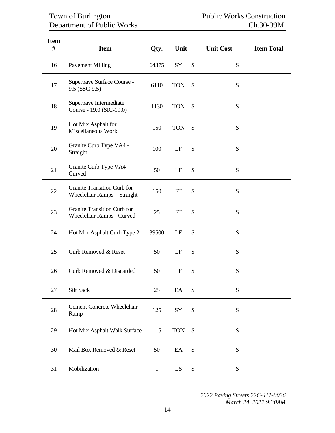# Town of Burlington **Public Works Construction** Department of Public Works Ch.30-39M

| <b>Item</b><br># | <b>Item</b>                                                       | Qty.         | Unit                 | <b>Unit Cost</b> | <b>Item Total</b> |
|------------------|-------------------------------------------------------------------|--------------|----------------------|------------------|-------------------|
| 16               | <b>Pavement Milling</b>                                           | 64375        | SY                   | \$<br>\$         |                   |
| 17               | Superpave Surface Course -<br>$9.5$ (SSC-9.5)                     | 6110         | <b>TON</b>           | \$<br>\$         |                   |
| 18               | Superpave Intermediate<br>Course - 19.0 (SIC-19.0)                | 1130         | <b>TON</b>           | \$<br>\$         |                   |
| 19               | Hot Mix Asphalt for<br>Miscellaneous Work                         | 150          | <b>TON</b>           | \$<br>\$         |                   |
| 20               | Granite Curb Type VA4 -<br>Straight                               | 100          | LF                   | \$<br>\$         |                   |
| 21               | Granite Curb Type VA4 -<br>Curved                                 | 50           | LF                   | \$<br>\$         |                   |
| 22               | <b>Granite Transition Curb for</b><br>Wheelchair Ramps - Straight | 150          | FT                   | \$<br>\$         |                   |
| 23               | <b>Granite Transition Curb for</b><br>Wheelchair Ramps - Curved   | 25           | FT                   | \$<br>\$         |                   |
| 24               | Hot Mix Asphalt Curb Type 2                                       | 39500        | LF                   | \$<br>\$         |                   |
| 25               | Curb Removed & Reset                                              | 50           | LF                   | \$<br>\$         |                   |
| 26               | Curb Removed & Discarded                                          | 50           | LF                   | \$<br>\$         |                   |
| 27               | Silt Sack                                                         | 25           | $\mathop{\text{EA}}$ | \$<br>\$         |                   |
| 28               | Cement Concrete Wheelchair<br>Ramp                                | 125          | ${\rm SY}$           | \$<br>\$         |                   |
| 29               | Hot Mix Asphalt Walk Surface                                      | 115          | <b>TON</b>           | \$<br>\$         |                   |
| 30               | Mail Box Removed & Reset                                          | 50           | EA                   | \$<br>\$         |                   |
| 31               | Mobilization                                                      | $\mathbf{1}$ | LS                   | \$<br>\$         |                   |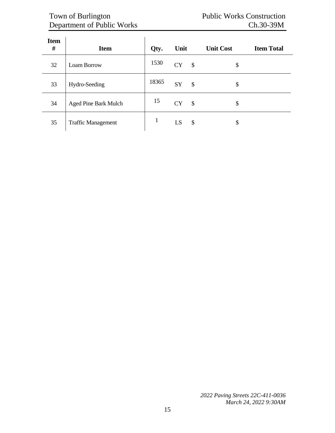# Town of Burlington **Public Works Construction** Department of Public Works Ch.30-39M

| <b>Item</b><br># | <b>Item</b>                 | Qty.  | Unit      |                           | <b>Unit Cost</b> | <b>Item Total</b> |
|------------------|-----------------------------|-------|-----------|---------------------------|------------------|-------------------|
| 32               | Loam Borrow                 | 1530  | <b>CY</b> | $\boldsymbol{\mathsf{S}}$ | \$               |                   |
| 33               | Hydro-Seeding               | 18365 | SY        | $\boldsymbol{\mathsf{S}}$ | \$               |                   |
| 34               | <b>Aged Pine Bark Mulch</b> | 15    | <b>CY</b> | $\boldsymbol{\mathsf{S}}$ | \$               |                   |
| 35               | <b>Traffic Management</b>   |       | LS        | \$                        | \$               |                   |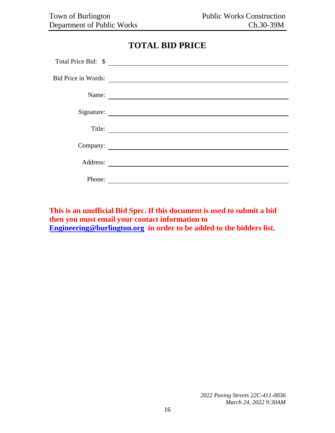# **TOTAL BID PRICE**

<span id="page-15-0"></span>

|                            | Total Price Bid: \$                                  |
|----------------------------|------------------------------------------------------|
| <b>Bid Price in Words:</b> |                                                      |
| Name:                      |                                                      |
|                            | Signature:                                           |
| Title:                     | <u> 1989 - Johann Barn, fransk politik (d. 1989)</u> |
|                            | Company:                                             |
|                            |                                                      |
| Phone:                     |                                                      |

**This is an unofficial Bid Spec. If this document is used to submit a bid then you must email your contact information to [Engineering@burlington.org](mailto:Engineering@burlington.org) in order to be added to the bidders list.**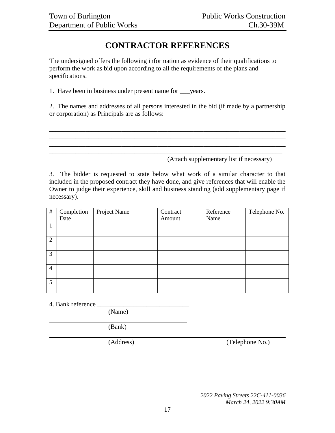# **CONTRACTOR REFERENCES**

<span id="page-16-0"></span>The undersigned offers the following information as evidence of their qualifications to perform the work as bid upon according to all the requirements of the plans and specifications.

1. Have been in business under present name for \_\_\_years.

2. The names and addresses of all persons interested in the bid (if made by a partnership or corporation) as Principals are as follows:

\_\_\_\_\_\_\_\_\_\_\_\_\_\_\_\_\_\_\_\_\_\_\_\_\_\_\_\_\_\_\_\_\_\_\_\_\_\_\_\_\_\_\_\_\_\_\_\_\_\_\_\_\_\_\_\_\_\_\_\_\_\_\_\_\_\_\_\_\_\_\_\_ \_\_\_\_\_\_\_\_\_\_\_\_\_\_\_\_\_\_\_\_\_\_\_\_\_\_\_\_\_\_\_\_\_\_\_\_\_\_\_\_\_\_\_\_\_\_\_\_\_\_\_\_\_\_\_\_\_\_\_\_\_\_\_\_\_\_\_\_\_\_\_\_

\_\_\_\_\_\_\_\_\_\_\_\_\_\_\_\_\_\_\_\_\_\_\_\_\_\_\_\_\_\_\_\_\_\_\_\_\_\_\_\_\_\_\_\_\_\_\_\_\_\_\_\_\_\_\_\_\_\_\_\_\_\_\_\_\_\_\_\_\_\_\_

(Attach supplementary list if necessary)

3. The bidder is requested to state below what work of a similar character to that included in the proposed contract they have done, and give references that will enable the Owner to judge their experience, skill and business standing (add supplementary page if necessary).

| $\#$           | Completion | Project Name | Contract | Reference | Telephone No. |
|----------------|------------|--------------|----------|-----------|---------------|
|                | Date       |              | Amount   | Name      |               |
|                |            |              |          |           |               |
|                |            |              |          |           |               |
| 2              |            |              |          |           |               |
|                |            |              |          |           |               |
| 3              |            |              |          |           |               |
|                |            |              |          |           |               |
| $\overline{4}$ |            |              |          |           |               |
|                |            |              |          |           |               |
| 5              |            |              |          |           |               |
|                |            |              |          |           |               |

4. Bank reference

(Name)

(Bank)

(Address) (Telephone No.)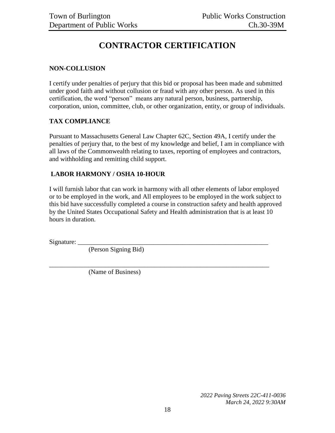# **CONTRACTOR CERTIFICATION**

#### <span id="page-17-0"></span>**NON-COLLUSION**

I certify under penalties of perjury that this bid or proposal has been made and submitted under good faith and without collusion or fraud with any other person. As used in this certification, the word "person" means any natural person, business, partnership, corporation, union, committee, club, or other organization, entity, or group of individuals.

#### **TAX COMPLIANCE**

Pursuant to Massachusetts General Law Chapter 62C, Section 49A, I certify under the penalties of perjury that, to the best of my knowledge and belief, I am in compliance with all laws of the Commonwealth relating to taxes, reporting of employees and contractors, and withholding and remitting child support.

#### **LABOR HARMONY / OSHA 10-HOUR**

I will furnish labor that can work in harmony with all other elements of labor employed or to be employed in the work, and All employees to be employed in the work subject to this bid have successfully completed a course in construction safety and health approved by the United States Occupational Safety and Health administration that is at least 10 hours in duration.

\_\_\_\_\_\_\_\_\_\_\_\_\_\_\_\_\_\_\_\_\_\_\_\_\_\_\_\_\_\_\_\_\_\_\_\_\_\_\_\_\_\_\_\_\_\_\_\_\_\_\_\_\_\_\_\_\_\_\_\_\_\_\_\_\_\_\_

Signature:

(Person Signing Bid)

(Name of Business)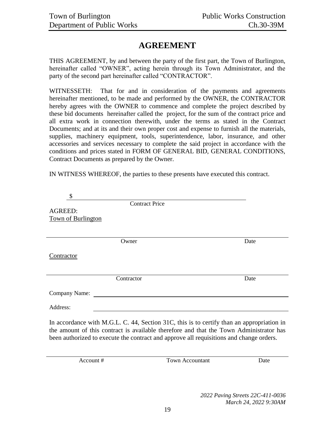# **AGREEMENT**

<span id="page-18-0"></span>THIS AGREEMENT, by and between the party of the first part, the Town of Burlington, hereinafter called "OWNER", acting herein through its Town Administrator, and the party of the second part hereinafter called "CONTRACTOR".

WITNESSETH: That for and in consideration of the payments and agreements hereinafter mentioned, to be made and performed by the OWNER, the CONTRACTOR hereby agrees with the OWNER to commence and complete the project described by these bid documents hereinafter called the project, for the sum of the contract price and all extra work in connection therewith, under the terms as stated in the Contract Documents; and at its and their own proper cost and expense to furnish all the materials, supplies, machinery equipment, tools, superintendence, labor, insurance, and other accessories and services necessary to complete the said project in accordance with the conditions and prices stated in FORM OF GENERAL BID, GENERAL CONDITIONS, Contract Documents as prepared by the Owner.

IN WITNESS WHEREOF, the parties to these presents have executed this contract.

| \$                                                                                                                                                                                                                                                                             |      |
|--------------------------------------------------------------------------------------------------------------------------------------------------------------------------------------------------------------------------------------------------------------------------------|------|
| <b>Contract Price</b>                                                                                                                                                                                                                                                          |      |
| <b>AGREED:</b>                                                                                                                                                                                                                                                                 |      |
| <b>Town of Burlington</b>                                                                                                                                                                                                                                                      |      |
|                                                                                                                                                                                                                                                                                |      |
| Owner                                                                                                                                                                                                                                                                          | Date |
| Contractor                                                                                                                                                                                                                                                                     |      |
| Contractor                                                                                                                                                                                                                                                                     | Date |
| Company Name:                                                                                                                                                                                                                                                                  |      |
| Address:                                                                                                                                                                                                                                                                       |      |
| In accordance with M.G.L. C. 44, Section 31C, this is to certify than an appropriation in<br>the amount of this contract is available therefore and that the Town Administrator has<br>been authorized to execute the contract and approve all requisitions and change orders. |      |

Account # Town Accountant Date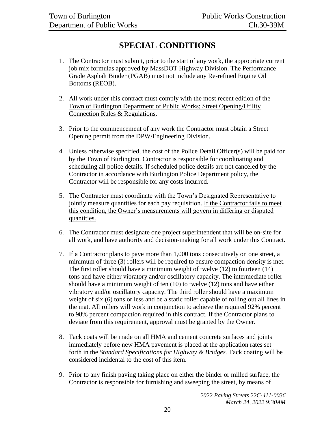# **SPECIAL CONDITIONS**

- <span id="page-19-0"></span>1. The Contractor must submit, prior to the start of any work, the appropriate current job mix formulas approved by MassDOT Highway Division. The Performance Grade Asphalt Binder (PGAB) must not include any Re-refined Engine Oil Bottoms (REOB).
- 2. All work under this contract must comply with the most recent edition of the Town of Burlington Department of Public Works; Street Opening/Utility Connection Rules & Regulations.
- 3. Prior to the commencement of any work the Contractor must obtain a Street Opening permit from the DPW/Engineering Division.
- 4. Unless otherwise specified, the cost of the Police Detail Officer(s) will be paid for by the Town of Burlington. Contractor is responsible for coordinating and scheduling all police details. If scheduled police details are not canceled by the Contractor in accordance with Burlington Police Department policy, the Contractor will be responsible for any costs incurred.
- 5. The Contractor must coordinate with the Town's Designated Representative to jointly measure quantities for each pay requisition. If the Contractor fails to meet this condition, the Owner's measurements will govern in differing or disputed quantities.
- 6. The Contractor must designate one project superintendent that will be on-site for all work, and have authority and decision-making for all work under this Contract.
- 7. If a Contractor plans to pave more than 1,000 tons consecutively on one street, a minimum of three (3) rollers will be required to ensure compaction density is met. The first roller should have a minimum weight of twelve (12) to fourteen (14) tons and have either vibratory and/or oscillatory capacity. The intermediate roller should have a minimum weight of ten (10) to twelve (12) tons and have either vibratory and/or oscillatory capacity. The third roller should have a maximum weight of six (6) tons or less and be a static roller capable of rolling out all lines in the mat. All rollers will work in conjunction to achieve the required 92% percent to 98% percent compaction required in this contract. If the Contractor plans to deviate from this requirement, approval must be granted by the Owner.
- 8. Tack coats will be made on all HMA and cement concrete surfaces and joints immediately before new HMA pavement is placed at the application rates set forth in the *Standard Specifications for Highway & Bridges.* Tack coating will be considered incidental to the cost of this item.
- 9. Prior to any finish paving taking place on either the binder or milled surface, the Contractor is responsible for furnishing and sweeping the street, by means of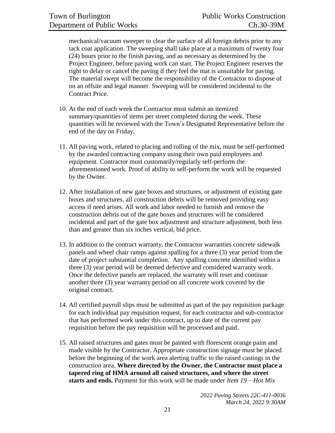mechanical/vacuum sweeper to clear the surface of all foreign debris prior to any tack coat application. The sweeping shall take place at a maximum of twenty four (24) hours prior to the finish paving, and as necessary as determined by the Project Engineer, before paving work can start. The Project Engineer reserves the right to delay or cancel the paving if they feel the mat is unsuitable for paving. The material swept will become the responsibility of the Contractor to dispose of on an offsite and legal manner. Sweeping will be considered incidental to the Contract Price.

- 10. At the end of each week the Contractor must submit an itemized summary/quantities of items per street completed during the week. These quantities will be reviewed with the Town's Designated Representative before the end of the day on Friday.
- 11. All paving work, related to placing and rolling of the mix, must be self-performed by the awarded contracting company using their own paid employees and equipment. Contractor must customarily/regularly self-perform the aforementioned work. Proof of ability to self-perform the work will be requested by the Owner.
- 12. After installation of new gate boxes and structures, or adjustment of existing gate boxes and structures, all construction debris will be removed providing easy access if need arises. All work and labor needed to furnish and remove the construction debris out of the gate boxes and structures will be considered incidental and part of the gate box adjustment and structure adjustment, both less than and greater than six inches vertical, bid price.
- 13. In addition to the contract warranty, the Contractor warranties concrete sidewalk panels and wheel chair ramps against spalling for a three (3) year period from the date of project substantial completion. Any spalling concrete identified within a three (3) year period will be deemed defective and considered warranty work. Once the defective panels are replaced, the warranty will reset and continue another three (3) year warranty period on all concrete work covered by the original contract.
- 14. All certified payroll slips must be submitted as part of the pay requisition package for each individual pay requisition request, for each contractor and sub-contractor that has performed work under this contract, up to date of the current pay requisition before the pay requisition will be processed and paid.
- 15. All raised structures and gates must be painted with florescent orange paint and made visible by the Contractor. Appropriate construction signage must be placed before the beginning of the work area alerting traffic to the raised castings in the construction area. **Where directed by the Owner, the Contractor must place a tapered ring of HMA around all raised structures, and where the street starts and ends.** Payment for this work will be made under *Item 19 – Hot Mix*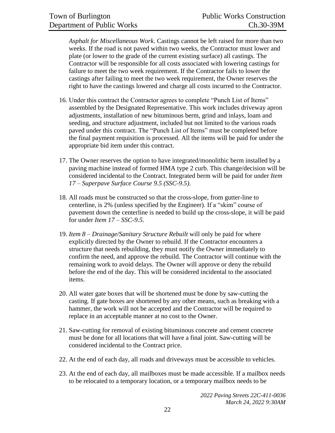*Asphalt for Miscellaneous Work*. Castings cannot be left raised for more than two weeks. If the road is not paved within two weeks, the Contractor must lower and plate (or lower to the grade of the current existing surface) all castings. The Contractor will be responsible for all costs associated with lowering castings for failure to meet the two week requirement. If the Contractor fails to lower the castings after failing to meet the two week requirement, the Owner reserves the right to have the castings lowered and charge all costs incurred to the Contractor.

- 16. Under this contract the Contractor agrees to complete "Punch List of Items" assembled by the Designated Representative. This work includes driveway apron adjustments, installation of new bituminous berm, grind and inlays, loam and seeding, and structure adjustment, included but not limited to the various roads paved under this contract. The "Punch List of Items" must be completed before the final payment requisition is processed. All the items will be paid for under the appropriate bid item under this contract.
- 17. The Owner reserves the option to have integrated/monolithic berm installed by a paving machine instead of formed HMA type 2 curb. This change/decision will be considered incidental to the Contract. Integrated berm will be paid for under *Item 17 – Superpave Surface Course 9.5 (SSC-9.5)*.
- 18. All roads must be constructed so that the cross-slope, from gutter-line to centerline, is 2% (unless specified by the Engineer). If a "skim" course of pavement down the centerline is needed to build up the cross-slope, it will be paid for under *Item 17 – SSC-9.5*.
- 19. *Item 8 – Drainage/Sanitary Structure Rebuilt* will only be paid for where explicitly directed by the Owner to rebuild. If the Contractor encounters a structure that needs rebuilding, they must notify the Owner immediately to confirm the need, and approve the rebuild. The Contractor will continue with the remaining work to avoid delays. The Owner will approve or deny the rebuild before the end of the day. This will be considered incidental to the associated items.
- 20. All water gate boxes that will be shortened must be done by saw-cutting the casting. If gate boxes are shortened by any other means, such as breaking with a hammer, the work will not be accepted and the Contractor will be required to replace in an acceptable manner at no cost to the Owner.
- 21. Saw-cutting for removal of existing bituminous concrete and cement concrete must be done for all locations that will have a final joint. Saw-cutting will be considered incidental to the Contract price.
- 22. At the end of each day, all roads and driveways must be accessible to vehicles.
- 23. At the end of each day, all mailboxes must be made accessible. If a mailbox needs to be relocated to a temporary location, or a temporary mailbox needs to be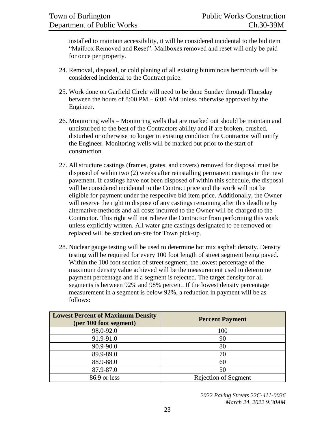installed to maintain accessibility, it will be considered incidental to the bid item "Mailbox Removed and Reset". Mailboxes removed and reset will only be paid for once per property.

- 24. Removal, disposal, or cold planing of all existing bituminous berm/curb will be considered incidental to the Contract price.
- 25. Work done on Garfield Circle will need to be done Sunday through Thursday between the hours of 8:00 PM – 6:00 AM unless otherwise approved by the Engineer.
- 26. Monitoring wells Monitoring wells that are marked out should be maintain and undisturbed to the best of the Contractors ability and if are broken, crushed, disturbed or otherwise no longer in existing condition the Contractor will notify the Engineer. Monitoring wells will be marked out prior to the start of construction.
- 27. All structure castings (frames, grates, and covers) removed for disposal must be disposed of within two (2) weeks after reinstalling permanent castings in the new pavement. If castings have not been disposed of within this schedule, the disposal will be considered incidental to the Contract price and the work will not be eligible for payment under the respective bid item price. Additionally, the Owner will reserve the right to dispose of any castings remaining after this deadline by alternative methods and all costs incurred to the Owner will be charged to the Contractor. This right will not relieve the Contractor from performing this work unless explicitly written. All water gate castings designated to be removed or replaced will be stacked on-site for Town pick-up.
- 28. Nuclear gauge testing will be used to determine hot mix asphalt density. Density testing will be required for every 100 foot length of street segment being paved. Within the 100 foot section of street segment, the lowest percentage of the maximum density value achieved will be the measurement used to determine payment percentage and if a segment is rejected. The target density for all segments is between 92% and 98% percent. If the lowest density percentage measurement in a segment is below 92%, a reduction in payment will be as follows:

| <b>Lowest Percent of Maximum Density</b><br>(per 100 foot segment) | <b>Percent Payment</b>      |
|--------------------------------------------------------------------|-----------------------------|
| 98.0-92.0                                                          | 100                         |
| 91.9-91.0                                                          | 90                          |
| 90.9-90.0                                                          | 80                          |
| 89.9-89.0                                                          | 70                          |
| 88.9-88.0                                                          | 60                          |
| 87.9-87.0                                                          | 50                          |
| 86.9 or less                                                       | <b>Rejection of Segment</b> |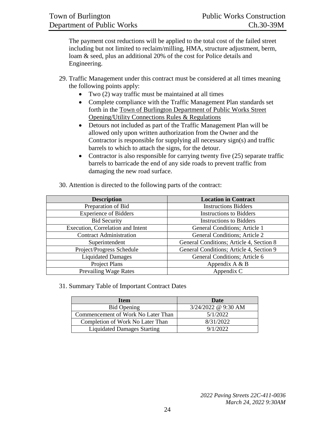The payment cost reductions will be applied to the total cost of the failed street including but not limited to reclaim/milling, HMA, structure adjustment, berm, loam & seed, plus an additional 20% of the cost for Police details and Engineering.

- 29. Traffic Management under this contract must be considered at all times meaning the following points apply:
	- Two (2) way traffic must be maintained at all times
	- Complete compliance with the Traffic Management Plan standards set forth in the Town of Burlington Department of Public Works Street Opening/Utility Connections Rules & Regulations
	- Detours not included as part of the Traffic Management Plan will be allowed only upon written authorization from the Owner and the Contractor is responsible for supplying all necessary sign(s) and traffic barrels to which to attach the signs, for the detour.
	- Contractor is also responsible for carrying twenty five (25) separate traffic barrels to barricade the end of any side roads to prevent traffic from damaging the new road surface.

| <b>Description</b>                | <b>Location in Contract</b>              |
|-----------------------------------|------------------------------------------|
| Preparation of Bid                | <b>Instructions Bidders</b>              |
| <b>Experience of Bidders</b>      | <b>Instructions to Bidders</b>           |
| <b>Bid Security</b>               | <b>Instructions to Bidders</b>           |
| Execution, Correlation and Intent | General Conditions; Article 1            |
| <b>Contract Administration</b>    | <b>General Conditions; Article 2</b>     |
| Superintendent                    | General Conditions; Article 4, Section 8 |
| Project/Progress Schedule         | General Conditions; Article 4, Section 9 |
| <b>Liquidated Damages</b>         | General Conditions; Article 6            |
| Project Plans                     | Appendix $A \& B$                        |
| Prevailing Wage Rates             | Appendix C                               |

30. Attention is directed to the following parts of the contract:

31. Summary Table of Important Contract Dates

| <b>Item</b>                        | <b>Date</b>           |
|------------------------------------|-----------------------|
| <b>Bid Opening</b>                 | $3/24/2022$ @ 9:30 AM |
| Commencement of Work No Later Than | 5/1/2022              |
| Completion of Work No Later Than   | 8/31/2022             |
| <b>Liquidated Damages Starting</b> | 9/1/2022              |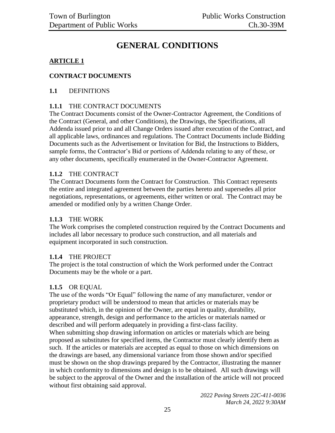# **GENERAL CONDITIONS**

#### <span id="page-24-0"></span>**ARTICLE 1**

#### **CONTRACT DOCUMENTS**

#### **1.1** DEFINITIONS

#### **1.1.1** THE CONTRACT DOCUMENTS

The Contract Documents consist of the Owner-Contractor Agreement, the Conditions of the Contract (General, and other Conditions), the Drawings, the Specifications, all Addenda issued prior to and all Change Orders issued after execution of the Contract, and all applicable laws, ordinances and regulations. The Contract Documents include Bidding Documents such as the Advertisement or Invitation for Bid, the Instructions to Bidders, sample forms, the Contractor's Bid or portions of Addenda relating to any of these, or any other documents, specifically enumerated in the Owner-Contractor Agreement.

#### **1.1.2** THE CONTRACT

The Contract Documents form the Contract for Construction. This Contract represents the entire and integrated agreement between the parties hereto and supersedes all prior negotiations, representations, or agreements, either written or oral. The Contract may be amended or modified only by a written Change Order.

#### **1.1.3** THE WORK

The Work comprises the completed construction required by the Contract Documents and includes all labor necessary to produce such construction, and all materials and equipment incorporated in such construction.

#### **1.1.4** THE PROJECT

The project is the total construction of which the Work performed under the Contract Documents may be the whole or a part.

#### **1.1.5** OR EQUAL

The use of the words "Or Equal" following the name of any manufacturer, vendor or proprietary product will be understood to mean that articles or materials may be substituted which, in the opinion of the Owner, are equal in quality, durability, appearance, strength, design and performance to the articles or materials named or described and will perform adequately in providing a first-class facility. When submitting shop drawing information on articles or materials which are being proposed as substitutes for specified items, the Contractor must clearly identify them as such. If the articles or materials are accepted as equal to those on which dimensions on the drawings are based, any dimensional variance from those shown and/or specified must be shown on the shop drawings prepared by the Contractor, illustrating the manner in which conformity to dimensions and design is to be obtained. All such drawings will be subject to the approval of the Owner and the installation of the article will not proceed without first obtaining said approval.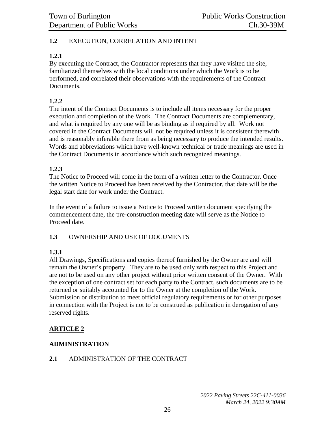#### **1.2** EXECUTION, CORRELATION AND INTENT

#### **1.2.1**

By executing the Contract, the Contractor represents that they have visited the site, familiarized themselves with the local conditions under which the Work is to be performed, and correlated their observations with the requirements of the Contract Documents.

#### **1.2.2**

The intent of the Contract Documents is to include all items necessary for the proper execution and completion of the Work. The Contract Documents are complementary, and what is required by any one will be as binding as if required by all. Work not covered in the Contract Documents will not be required unless it is consistent therewith and is reasonably inferable there from as being necessary to produce the intended results. Words and abbreviations which have well-known technical or trade meanings are used in the Contract Documents in accordance which such recognized meanings.

#### **1.2.3**

The Notice to Proceed will come in the form of a written letter to the Contractor. Once the written Notice to Proceed has been received by the Contractor, that date will be the legal start date for work under the Contract.

In the event of a failure to issue a Notice to Proceed written document specifying the commencement date, the pre-construction meeting date will serve as the Notice to Proceed date.

#### **1.3** OWNERSHIP AND USE OF DOCUMENTS

#### **1.3.1**

All Drawings, Specifications and copies thereof furnished by the Owner are and will remain the Owner's property. They are to be used only with respect to this Project and are not to be used on any other project without prior written consent of the Owner. With the exception of one contract set for each party to the Contract, such documents are to be returned or suitably accounted for to the Owner at the completion of the Work. Submission or distribution to meet official regulatory requirements or for other purposes in connection with the Project is not to be construed as publication in derogation of any reserved rights.

#### **ARTICLE 2**

#### **ADMINISTRATION**

#### **2.1** ADMINISTRATION OF THE CONTRACT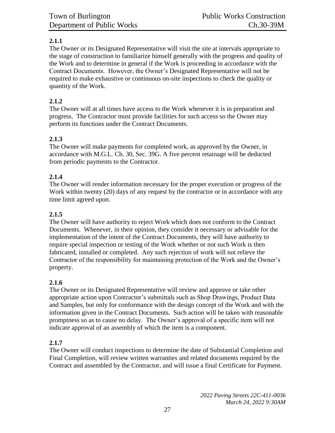### **2.1.1**

The Owner or its Designated Representative will visit the site at intervals appropriate to the stage of construction to familiarize himself generally with the progress and quality of the Work and to determine in general if the Work is proceeding in accordance with the Contract Documents. However, the Owner's Designated Representative will not be required to make exhaustive or continuous on-site inspections to check the quality or quantity of the Work.

#### **2.1.2**

The Owner will at all times have access to the Work whenever it is in preparation and progress. The Contractor must provide facilities for such access so the Owner may perform its functions under the Contract Documents.

#### **2.1.3**

The Owner will make payments for completed work, as approved by the Owner, in accordance with M.G.L. Ch. 30, Sec. 39G. A five percent retainage will be deducted from periodic payments to the Contractor.

#### **2.1.4**

The Owner will render information necessary for the proper execution or progress of the Work within twenty (20) days of any request by the contractor or in accordance with any time limit agreed upon.

#### **2.1.5**

The Owner will have authority to reject Work which does not conform to the Contract Documents. Whenever, in their opinion, they consider it necessary or advisable for the implementation of the intent of the Contract Documents, they will have authority to require special inspection or testing of the Work whether or not such Work is then fabricated, installed or completed. Any such rejection of work will not relieve the Contractor of the responsibility for maintaining protection of the Work and the Owner's property.

#### **2.1.6**

The Owner or its Designated Representative will review and approve or take other appropriate action upon Contractor's submittals such as Shop Drawings, Product Data and Samples, but only for conformance with the design concept of the Work and with the information given in the Contract Documents. Such action will be taken with reasonable promptness so as to cause no delay. The Owner's approval of a specific item will not indicate approval of an assembly of which the item is a component.

#### **2.1.7**

The Owner will conduct inspections to determine the date of Substantial Completion and Final Completion, will review written warranties and related documents required by the Contract and assembled by the Contractor, and will issue a final Certificate for Payment.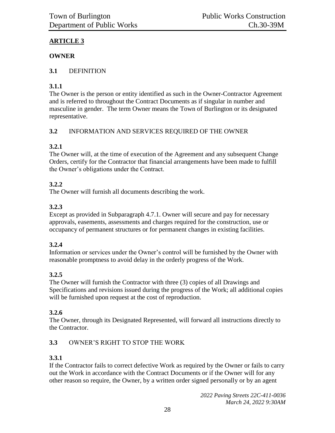# **ARTICLE 3**

#### **OWNER**

### **3.1** DEFINITION

# **3.1.1**

The Owner is the person or entity identified as such in the Owner-Contractor Agreement and is referred to throughout the Contract Documents as if singular in number and masculine in gender. The term Owner means the Town of Burlington or its designated representative.

# **3.2** INFORMATION AND SERVICES REQUIRED OF THE OWNER

# **3.2.1**

The Owner will, at the time of execution of the Agreement and any subsequent Change Orders, certify for the Contractor that financial arrangements have been made to fulfill the Owner's obligations under the Contract.

# **3.2.2**

The Owner will furnish all documents describing the work.

# **3.2.3**

Except as provided in Subparagraph 4.7.1. Owner will secure and pay for necessary approvals, easements, assessments and charges required for the construction, use or occupancy of permanent structures or for permanent changes in existing facilities.

# **3.2.4**

Information or services under the Owner's control will be furnished by the Owner with reasonable promptness to avoid delay in the orderly progress of the Work.

# **3.2.5**

The Owner will furnish the Contractor with three (3) copies of all Drawings and Specifications and revisions issued during the progress of the Work; all additional copies will be furnished upon request at the cost of reproduction.

# **3.2.6**

The Owner, through its Designated Represented, will forward all instructions directly to the Contractor.

# **3.3** OWNER'S RIGHT TO STOP THE WORK

# **3.3.1**

If the Contractor fails to correct defective Work as required by the Owner or fails to carry out the Work in accordance with the Contract Documents or if the Owner will for any other reason so require, the Owner, by a written order signed personally or by an agent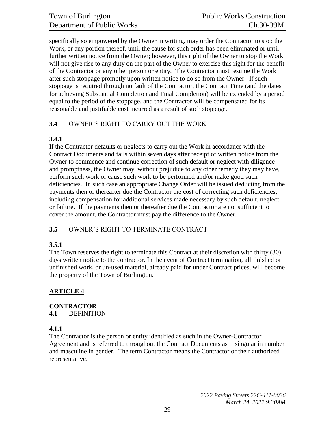specifically so empowered by the Owner in writing, may order the Contractor to stop the Work, or any portion thereof, until the cause for such order has been eliminated or until further written notice from the Owner; however, this right of the Owner to stop the Work will not give rise to any duty on the part of the Owner to exercise this right for the benefit of the Contractor or any other person or entity. The Contractor must resume the Work after such stoppage promptly upon written notice to do so from the Owner. If such stoppage is required through no fault of the Contractor, the Contract Time (and the dates for achieving Substantial Completion and Final Completion) will be extended by a period equal to the period of the stoppage, and the Contractor will be compensated for its reasonable and justifiable cost incurred as a result of such stoppage.

#### **3.4** OWNER'S RIGHT TO CARRY OUT THE WORK

#### **3.4.1**

If the Contractor defaults or neglects to carry out the Work in accordance with the Contract Documents and fails within seven days after receipt of written notice from the Owner to commence and continue correction of such default or neglect with diligence and promptness, the Owner may, without prejudice to any other remedy they may have, perform such work or cause such work to be performed and/or make good such deficiencies. In such case an appropriate Change Order will be issued deducting from the payments then or thereafter due the Contractor the cost of correcting such deficiencies, including compensation for additional services made necessary by such default, neglect or failure. If the payments then or thereafter due the Contractor are not sufficient to cover the amount, the Contractor must pay the difference to the Owner.

#### **3.5** OWNER'S RIGHT TO TERMINATE CONTRACT

#### **3.5.1**

The Town reserves the right to terminate this Contract at their discretion with thirty (30) days written notice to the contractor. In the event of Contract termination, all finished or unfinished work, or un-used material, already paid for under Contract prices, will become the property of the Town of Burlington.

#### **ARTICLE 4**

# **CONTRACTOR**

**4.1** DEFINITION

#### **4.1.1**

The Contractor is the person or entity identified as such in the Owner-Contractor Agreement and is referred to throughout the Contract Documents as if singular in number and masculine in gender. The term Contractor means the Contractor or their authorized representative.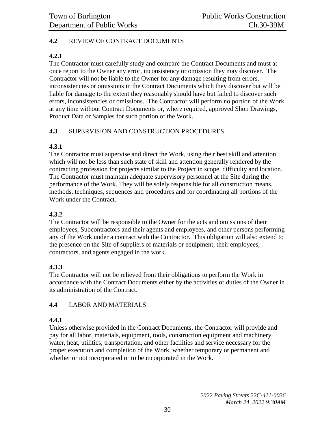#### **4.2** REVIEW OF CONTRACT DOCUMENTS

#### **4.2.1**

The Contractor must carefully study and compare the Contract Documents and must at once report to the Owner any error, inconsistency or omission they may discover. The Contractor will not be liable to the Owner for any damage resulting from errors, inconsistencies or omissions in the Contract Documents which they discover but will be liable for damage to the extent they reasonably should have but failed to discover such errors, inconsistencies or omissions. The Contractor will perform no portion of the Work at any time without Contract Documents or, where required, approved Shop Drawings, Product Data or Samples for such portion of the Work.

#### **4.3** SUPERVISION AND CONSTRUCTION PROCEDURES

#### **4.3.1**

The Contractor must supervise and direct the Work, using their best skill and attention which will not be less than such state of skill and attention generally rendered by the contracting profession for projects similar to the Project in scope, difficulty and location. The Contractor must maintain adequate supervisory personnel at the Site during the performance of the Work. They will be solely responsible for all construction means, methods, techniques, sequences and procedures and for coordinating all portions of the Work under the Contract.

#### **4.3.2**

The Contractor will be responsible to the Owner for the acts and omissions of their employees, Subcontractors and their agents and employees, and other persons performing any of the Work under a contract with the Contractor. This obligation will also extend to the presence on the Site of suppliers of materials or equipment, their employees, contractors, and agents engaged in the work.

#### **4.3.3**

The Contractor will not be relieved from their obligations to perform the Work in accordance with the Contract Documents either by the activities or duties of the Owner in its administration of the Contract.

#### **4.4** LABOR AND MATERIALS

#### **4.4.1**

Unless otherwise provided in the Contract Documents, the Contractor will provide and pay for all labor, materials, equipment, tools, construction equipment and machinery, water, heat, utilities, transportation, and other facilities and service necessary for the proper execution and completion of the Work, whether temporary or permanent and whether or not incorporated or to be incorporated in the Work.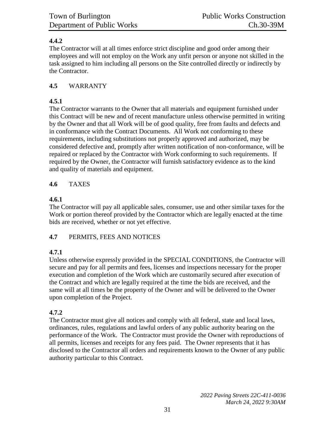### **4.4.2**

The Contractor will at all times enforce strict discipline and good order among their employees and will not employ on the Work any unfit person or anyone not skilled in the task assigned to him including all persons on the Site controlled directly or indirectly by the Contractor.

#### **4.5** WARRANTY

### **4.5.1**

The Contractor warrants to the Owner that all materials and equipment furnished under this Contract will be new and of recent manufacture unless otherwise permitted in writing by the Owner and that all Work will be of good quality, free from faults and defects and in conformance with the Contract Documents. All Work not conforming to these requirements, including substitutions not properly approved and authorized, may be considered defective and, promptly after written notification of non-conformance, will be repaired or replaced by the Contractor with Work conforming to such requirements. If required by the Owner, the Contractor will furnish satisfactory evidence as to the kind and quality of materials and equipment.

### **4.6** TAXES

### **4.6.1**

The Contractor will pay all applicable sales, consumer, use and other similar taxes for the Work or portion thereof provided by the Contractor which are legally enacted at the time bids are received, whether or not yet effective.

#### **4.7** PERMITS, FEES AND NOTICES

# **4.7.1**

Unless otherwise expressly provided in the SPECIAL CONDITIONS, the Contractor will secure and pay for all permits and fees, licenses and inspections necessary for the proper execution and completion of the Work which are customarily secured after execution of the Contract and which are legally required at the time the bids are received, and the same will at all times be the property of the Owner and will be delivered to the Owner upon completion of the Project.

# **4.7.2**

The Contractor must give all notices and comply with all federal, state and local laws, ordinances, rules, regulations and lawful orders of any public authority bearing on the performance of the Work. The Contractor must provide the Owner with reproductions of all permits, licenses and receipts for any fees paid. The Owner represents that it has disclosed to the Contractor all orders and requirements known to the Owner of any public authority particular to this Contract.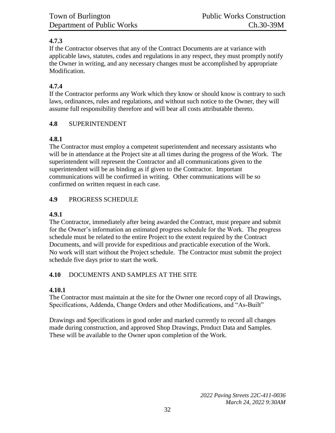### **4.7.3**

If the Contractor observes that any of the Contract Documents are at variance with applicable laws, statutes, codes and regulations in any respect, they must promptly notify the Owner in writing, and any necessary changes must be accomplished by appropriate Modification.

#### **4.7.4**

If the Contractor performs any Work which they know or should know is contrary to such laws, ordinances, rules and regulations, and without such notice to the Owner, they will assume full responsibility therefore and will bear all costs attributable thereto.

#### **4.8** SUPERINTENDENT

#### **4.8.1**

The Contractor must employ a competent superintendent and necessary assistants who will be in attendance at the Project site at all times during the progress of the Work. The superintendent will represent the Contractor and all communications given to the superintendent will be as binding as if given to the Contractor. Important communications will be confirmed in writing. Other communications will be so confirmed on written request in each case.

#### **4.9** PROGRESS SCHEDULE

#### **4.9.1**

The Contractor, immediately after being awarded the Contract, must prepare and submit for the Owner's information an estimated progress schedule for the Work. The progress schedule must be related to the entire Project to the extent required by the Contract Documents, and will provide for expeditious and practicable execution of the Work. No work will start without the Project schedule. The Contractor must submit the project schedule five days prior to start the work.

#### **4.10** DOCUMENTS AND SAMPLES AT THE SITE

#### **4.10.1**

The Contractor must maintain at the site for the Owner one record copy of all Drawings, Specifications, Addenda, Change Orders and other Modifications, and "As-Built"

Drawings and Specifications in good order and marked currently to record all changes made during construction, and approved Shop Drawings, Product Data and Samples. These will be available to the Owner upon completion of the Work.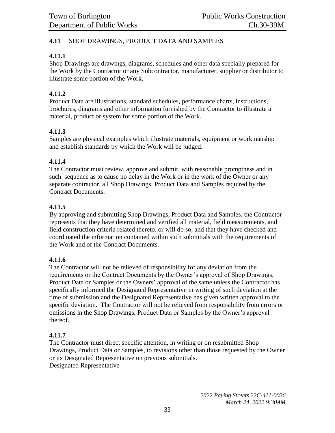#### **4.11** SHOP DRAWINGS, PRODUCT DATA AND SAMPLES

#### **4.11.1**

Shop Drawings are drawings, diagrams, schedules and other data specially prepared for the Work by the Contractor or any Subcontractor, manufacturer, supplier or distributor to illustrate some portion of the Work.

#### **4.11.2**

Product Data are illustrations, standard schedules, performance charts, instructions, brochures, diagrams and other information furnished by the Contractor to illustrate a material, product or system for some portion of the Work.

#### **4.11.3**

Samples are physical examples which illustrate materials, equipment or workmanship and establish standards by which the Work will be judged.

#### **4.11.4**

The Contractor must review, approve and submit, with reasonable promptness and in such sequence as to cause no delay in the Work or in the work of the Owner or any separate contractor, all Shop Drawings, Product Data and Samples required by the Contract Documents.

#### **4.11.5**

By approving and submitting Shop Drawings, Product Data and Samples, the Contractor represents that they have determined and verified all material, field measurements, and field construction criteria related thereto, or will do so, and that they have checked and coordinated the information contained within such submittals with the requirements of the Work and of the Contract Documents.

#### **4.11.6**

The Contractor will not be relieved of responsibility for any deviation from the requirements or the Contract Documents by the Owner's approval of Shop Drawings, Product Data or Samples or the Owners' approval of the same unless the Contractor has specifically informed the Designated Representative in writing of such deviation at the time of submission and the Designated Representative has given written approval to the specific deviation. The Contractor will not be relieved from responsibility from errors or omissions in the Shop Drawings, Product Data or Samples by the Owner's approval thereof.

#### **4.11.7**

The Contractor must direct specific attention, in writing or on resubmitted Shop Drawings, Product Data or Samples, to revisions other than those requested by the Owner or its Designated Representative on previous submittals. Designated Representative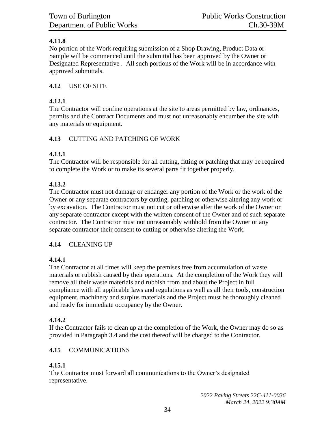### **4.11.8**

No portion of the Work requiring submission of a Shop Drawing, Product Data or Sample will be commenced until the submittal has been approved by the Owner or Designated Representative . All such portions of the Work will be in accordance with approved submittals.

### **4.12** USE OF SITE

#### **4.12.1**

The Contractor will confine operations at the site to areas permitted by law, ordinances, permits and the Contract Documents and must not unreasonably encumber the site with any materials or equipment.

### **4.13** CUTTING AND PATCHING OF WORK

### **4.13.1**

The Contractor will be responsible for all cutting, fitting or patching that may be required to complete the Work or to make its several parts fit together properly.

### **4.13.2**

The Contractor must not damage or endanger any portion of the Work or the work of the Owner or any separate contractors by cutting, patching or otherwise altering any work or by excavation. The Contractor must not cut or otherwise alter the work of the Owner or any separate contractor except with the written consent of the Owner and of such separate contractor. The Contractor must not unreasonably withhold from the Owner or any separate contractor their consent to cutting or otherwise altering the Work.

# **4.14** CLEANING UP

# **4.14.1**

The Contractor at all times will keep the premises free from accumulation of waste materials or rubbish caused by their operations. At the completion of the Work they will remove all their waste materials and rubbish from and about the Project in full compliance with all applicable laws and regulations as well as all their tools, construction equipment, machinery and surplus materials and the Project must be thoroughly cleaned and ready for immediate occupancy by the Owner.

# **4.14.2**

If the Contractor fails to clean up at the completion of the Work, the Owner may do so as provided in Paragraph 3.4 and the cost thereof will be charged to the Contractor.

# **4.15** COMMUNICATIONS

#### **4.15.1**

The Contractor must forward all communications to the Owner's designated representative.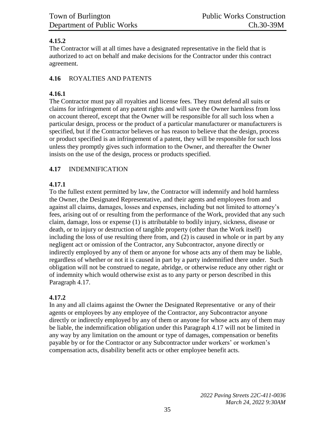### **4.15.2**

The Contractor will at all times have a designated representative in the field that is authorized to act on behalf and make decisions for the Contractor under this contract agreement.

### **4.16** ROYALTIES AND PATENTS

#### **4.16.1**

The Contractor must pay all royalties and license fees. They must defend all suits or claims for infringement of any patent rights and will save the Owner harmless from loss on account thereof, except that the Owner will be responsible for all such loss when a particular design, process or the product of a particular manufacturer or manufacturers is specified, but if the Contractor believes or has reason to believe that the design, process or product specified is an infringement of a patent, they will be responsible for such loss unless they promptly gives such information to the Owner, and thereafter the Owner insists on the use of the design, process or products specified.

### **4.17** INDEMNIFICATION

### **4.17.1**

To the fullest extent permitted by law, the Contractor will indemnify and hold harmless the Owner, the Designated Representative, and their agents and employees from and against all claims, damages, losses and expenses, including but not limited to attorney's fees, arising out of or resulting from the performance of the Work, provided that any such claim, damage, loss or expense (1) is attributable to bodily injury, sickness, disease or death, or to injury or destruction of tangible property (other than the Work itself) including the loss of use resulting there from, and (2) is caused in whole or in part by any negligent act or omission of the Contractor, any Subcontractor, anyone directly or indirectly employed by any of them or anyone for whose acts any of them may be liable, regardless of whether or not it is caused in part by a party indemnified there under. Such obligation will not be construed to negate, abridge, or otherwise reduce any other right or of indemnity which would otherwise exist as to any party or person described in this Paragraph 4.17.

# **4.17.2**

In any and all claims against the Owner the Designated Representative or any of their agents or employees by any employee of the Contractor, any Subcontractor anyone directly or indirectly employed by any of them or anyone for whose acts any of them may be liable, the indemnification obligation under this Paragraph 4.17 will not be limited in any way by any limitation on the amount or type of damages, compensation or benefits payable by or for the Contractor or any Subcontractor under workers' or workmen's compensation acts, disability benefit acts or other employee benefit acts.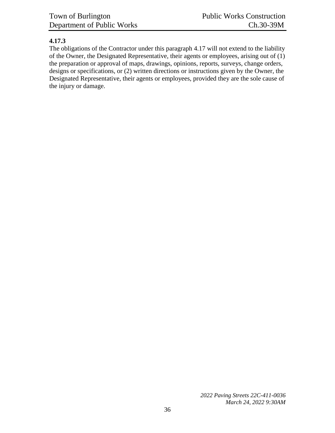#### **4.17.3**

The obligations of the Contractor under this paragraph 4.17 will not extend to the liability of the Owner, the Designated Representative, their agents or employees, arising out of (1) the preparation or approval of maps, drawings, opinions, reports, surveys, change orders, designs or specifications, or (2) written directions or instructions given by the Owner, the Designated Representative, their agents or employees, provided they are the sole cause of the injury or damage.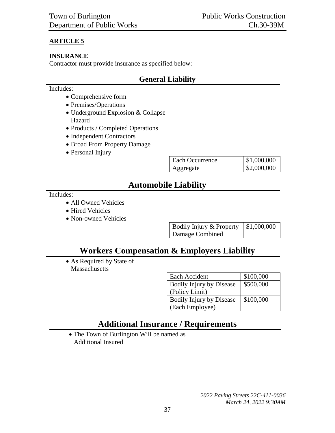### **ARTICLE 5**

#### **INSURANCE**

Contractor must provide insurance as specified below:

# **General Liability**

#### Includes:

- Comprehensive form
- Premises/Operations
- Underground Explosion & Collapse Hazard
- Products / Completed Operations
- Independent Contractors
- Broad From Property Damage
- Personal Injury

| Each Occurrence | \$1,000,000 |
|-----------------|-------------|
| ggregate        | \$2,000,000 |

# **Automobile Liability**

#### Includes:

- All Owned Vehicles
- Hired Vehicles
- Non-owned Vehicles

| Bodily Injury & Property $\vert$ \$1,000,000 |  |
|----------------------------------------------|--|
| Damage Combined                              |  |

# **Workers Compensation & Employers Liability**

 As Required by State of **Massachusetts** 

| Each Accident                   | \$100,000 |
|---------------------------------|-----------|
| <b>Bodily Injury by Disease</b> | \$500,000 |
| (Policy Limit)                  |           |
| <b>Bodily Injury by Disease</b> | \$100,000 |
| (Each Employee)                 |           |

# **Additional Insurance / Requirements**

• The Town of Burlington Will be named as Additional Insured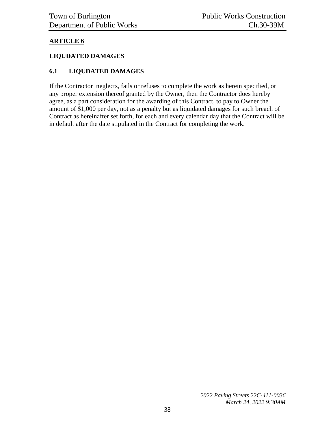### **ARTICLE 6**

#### **LIQUDATED DAMAGES**

#### **6.1 LIQUDATED DAMAGES**

If the Contractor neglects, fails or refuses to complete the work as herein specified, or any proper extension thereof granted by the Owner, then the Contractor does hereby agree, as a part consideration for the awarding of this Contract, to pay to Owner the amount of \$1,000 per day, not as a penalty but as liquidated damages for such breach of Contract as hereinafter set forth, for each and every calendar day that the Contract will be in default after the date stipulated in the Contract for completing the work.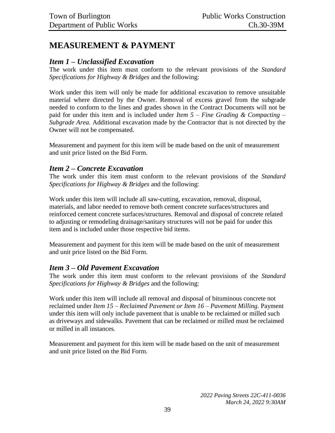# <span id="page-38-0"></span>**MEASUREMENT & PAYMENT**

### *Item 1 – Unclassified Excavation*

The work under this item must conform to the relevant provisions of the *Standard Specifications for Highway & Bridges* and the following:

Work under this item will only be made for additional excavation to remove unsuitable material where directed by the Owner. Removal of excess gravel from the subgrade needed to conform to the lines and grades shown in the Contract Documents will not be paid for under this item and is included under *Item 5 – Fine Grading & Compacting – Subgrade Area.* Additional excavation made by the Contractor that is not directed by the Owner will not be compensated.

Measurement and payment for this item will be made based on the unit of measurement and unit price listed on the Bid Form.

### *Item 2 – Concrete Excavation*

The work under this item must conform to the relevant provisions of the *Standard Specifications for Highway & Bridges* and the following:

Work under this item will include all saw-cutting, excavation, removal, disposal, materials, and labor needed to remove both cement concrete surfaces/structures and reinforced cement concrete surfaces/structures. Removal and disposal of concrete related to adjusting or remodeling drainage/sanitary structures will not be paid for under this item and is included under those respective bid items.

Measurement and payment for this item will be made based on the unit of measurement and unit price listed on the Bid Form.

#### *Item 3 – Old Pavement Excavation*

The work under this item must conform to the relevant provisions of the *Standard Specifications for Highway & Bridges* and the following:

Work under this item will include all removal and disposal of bituminous concrete not reclaimed under *Item 15 – Reclaimed Pavement or Item 16 – Pavement Milling*. Payment under this item will only include pavement that is unable to be reclaimed or milled such as driveways and sidewalks. Pavement that can be reclaimed or milled must be reclaimed or milled in all instances.

Measurement and payment for this item will be made based on the unit of measurement and unit price listed on the Bid Form.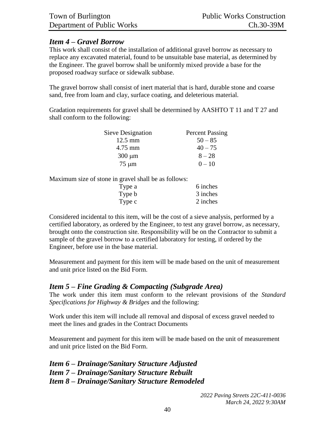# *Item 4 – Gravel Borrow*

This work shall consist of the installation of additional gravel borrow as necessary to replace any excavated material, found to be unsuitable base material, as determined by the Engineer. The gravel borrow shall be uniformly mixed provide a base for the proposed roadway surface or sidewalk subbase.

The gravel borrow shall consist of inert material that is hard, durable stone and coarse sand, free from loam and clay, surface coating, and deleterious material.

Gradation requirements for gravel shall be determined by AASHTO T 11 and T 27 and shall conform to the following:

| Sieve Designation | <b>Percent Passing</b> |
|-------------------|------------------------|
| $12.5 \text{ mm}$ | $50 - 85$              |
| 4.75 mm           | $40 - 75$              |
| $300 \mu m$       | $8 - 28$               |
| $75 \mu m$        | $0 - 10$               |

Maximum size of stone in gravel shall be as follows:

| Type a | 6 inches |
|--------|----------|
| Type b | 3 inches |
| Type c | 2 inches |

Considered incidental to this item, will be the cost of a sieve analysis, performed by a certified laboratory, as ordered by the Engineer, to test any gravel borrow, as necessary, brought onto the construction site. Responsibility will be on the Contractor to submit a sample of the gravel borrow to a certified laboratory for testing, if ordered by the Engineer, before use in the base material.

Measurement and payment for this item will be made based on the unit of measurement and unit price listed on the Bid Form.

# *Item 5 – Fine Grading & Compacting (Subgrade Area)*

The work under this item must conform to the relevant provisions of the *Standard Specifications for Highway & Bridges* and the following:

Work under this item will include all removal and disposal of excess gravel needed to meet the lines and grades in the Contract Documents

Measurement and payment for this item will be made based on the unit of measurement and unit price listed on the Bid Form.

*Item 6 – Drainage/Sanitary Structure Adjusted Item 7 – Drainage/Sanitary Structure Rebuilt Item 8 – Drainage/Sanitary Structure Remodeled*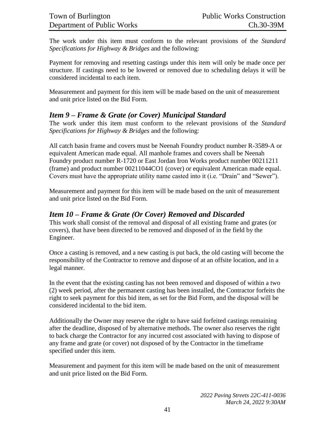The work under this item must conform to the relevant provisions of the *Standard Specifications for Highway & Bridges* and the following:

Payment for removing and resetting castings under this item will only be made once per structure. If castings need to be lowered or removed due to scheduling delays it will be considered incidental to each item.

Measurement and payment for this item will be made based on the unit of measurement and unit price listed on the Bid Form.

# *Item 9 – Frame & Grate (or Cover) Municipal Standard*

The work under this item must conform to the relevant provisions of the *Standard Specifications for Highway & Bridges* and the following:

All catch basin frame and covers must be Neenah Foundry product number R-3589-A or equivalent American made equal. All manhole frames and covers shall be Neenah Foundry product number R-1720 or East Jordan Iron Works product number 00211211 (frame) and product number 00211044CO1 (cover) or equivalent American made equal. Covers must have the appropriate utility name casted into it (i.e. "Drain" and "Sewer").

Measurement and payment for this item will be made based on the unit of measurement and unit price listed on the Bid Form.

# *Item 10 – Frame & Grate (Or Cover) Removed and Discarded*

This work shall consist of the removal and disposal of all existing frame and grates (or covers), that have been directed to be removed and disposed of in the field by the Engineer.

Once a casting is removed, and a new casting is put back, the old casting will become the responsibility of the Contractor to remove and dispose of at an offsite location, and in a legal manner.

In the event that the existing casting has not been removed and disposed of within a two (2) week period, after the permanent casting has been installed, the Contractor forfeits the right to seek payment for this bid item, as set for the Bid Form, and the disposal will be considered incidental to the bid item.

Additionally the Owner may reserve the right to have said forfeited castings remaining after the deadline, disposed of by alternative methods. The owner also reserves the right to back charge the Contractor for any incurred cost associated with having to dispose of any frame and grate (or cover) not disposed of by the Contractor in the timeframe specified under this item.

Measurement and payment for this item will be made based on the unit of measurement and unit price listed on the Bid Form.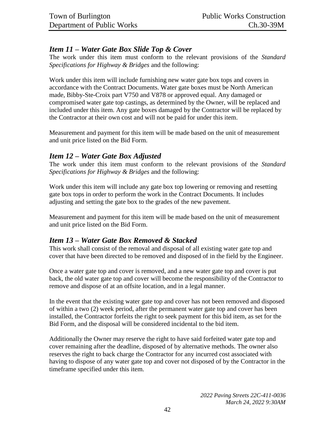# *Item 11 – Water Gate Box Slide Top & Cover*

The work under this item must conform to the relevant provisions of the *Standard Specifications for Highway & Bridges* and the following:

Work under this item will include furnishing new water gate box tops and covers in accordance with the Contract Documents. Water gate boxes must be North American made, Bibby-Ste-Croix part V750 and V878 or approved equal. Any damaged or compromised water gate top castings, as determined by the Owner, will be replaced and included under this item. Any gate boxes damaged by the Contractor will be replaced by the Contractor at their own cost and will not be paid for under this item.

Measurement and payment for this item will be made based on the unit of measurement and unit price listed on the Bid Form.

# *Item 12 – Water Gate Box Adjusted*

The work under this item must conform to the relevant provisions of the *Standard Specifications for Highway & Bridges* and the following:

Work under this item will include any gate box top lowering or removing and resetting gate box tops in order to perform the work in the Contract Documents. It includes adjusting and setting the gate box to the grades of the new pavement.

Measurement and payment for this item will be made based on the unit of measurement and unit price listed on the Bid Form.

# *Item 13 – Water Gate Box Removed & Stacked*

This work shall consist of the removal and disposal of all existing water gate top and cover that have been directed to be removed and disposed of in the field by the Engineer.

Once a water gate top and cover is removed, and a new water gate top and cover is put back, the old water gate top and cover will become the responsibility of the Contractor to remove and dispose of at an offsite location, and in a legal manner.

In the event that the existing water gate top and cover has not been removed and disposed of within a two (2) week period, after the permanent water gate top and cover has been installed, the Contractor forfeits the right to seek payment for this bid item, as set for the Bid Form, and the disposal will be considered incidental to the bid item.

Additionally the Owner may reserve the right to have said forfeited water gate top and cover remaining after the deadline, disposed of by alternative methods. The owner also reserves the right to back charge the Contractor for any incurred cost associated with having to dispose of any water gate top and cover not disposed of by the Contractor in the timeframe specified under this item.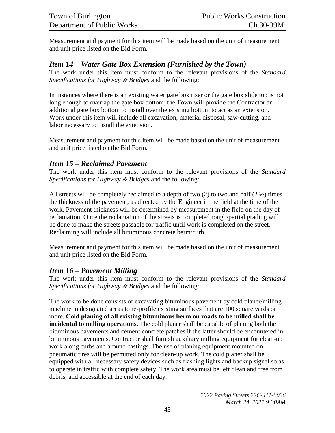Measurement and payment for this item will be made based on the unit of measurement and unit price listed on the Bid Form.

### *Item 14 – Water Gate Box Extension (Furnished by the Town)*

The work under this item must conform to the relevant provisions of the *Standard Specifications for Highway & Bridges* and the following:

In instances where there is an existing water gate box riser or the gate box slide top is not long enough to overlap the gate box bottom, the Town will provide the Contractor an additional gate box bottom to install over the existing bottom to act as an extension. Work under this item will include all excavation, material disposal, saw-cutting, and labor necessary to install the extension.

Measurement and payment for this item will be made based on the unit of measurement and unit price listed on the Bid Form.

### *Item 15 – Reclaimed Pavement*

The work under this item must conform to the relevant provisions of the *Standard Specifications for Highway & Bridges* and the following:

All streets will be completely reclaimed to a depth of two  $(2)$  to two and half  $(2 \frac{1}{2})$  times the thickness of the pavement, as directed by the Engineer in the field at the time of the work. Pavement thickness will be determined by measurement in the field on the day of reclamation. Once the reclamation of the streets is completed rough/partial grading will be done to make the streets passable for traffic until work is completed on the street. Reclaiming will include all bituminous concrete berm/curb.

Measurement and payment for this item will be made based on the unit of measurement and unit price listed on the Bid Form.

# *Item 16 – Pavement Milling*

The work under this item must conform to the relevant provisions of the *Standard Specifications for Highway & Bridges* and the following:

The work to be done consists of excavating bituminous pavement by cold planer/milling machine in designated areas to re-profile existing surfaces that are 100 square yards or more. **Cold planing of all existing bituminous berm on roads to be milled shall be incidental to milling operations.** The cold planer shall be capable of planing both the bituminous pavements and cement concrete patches if the latter should be encountered in bituminous pavements. Contractor shall furnish auxiliary milling equipment for clean-up work along curbs and around castings. The use of planing equipment mounted on pneumatic tires will be permitted only for clean-up work. The cold planer shall be equipped with all necessary safety devices such as flashing lights and backup signal so as to operate in traffic with complete safety. The work area must be left clean and free from debris, and accessible at the end of each day.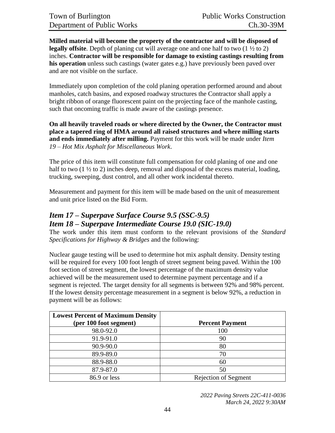**Milled material will become the property of the contractor and will be disposed of legally offsite**. Depth of planing cut will average one and one half to two (1  $\frac{1}{2}$  to 2) inches. **Contractor will be responsible for damage to existing castings resulting from his operation** unless such castings (water gates e.g.) have previously been paved over and are not visible on the surface.

Immediately upon completion of the cold planing operation performed around and about manholes, catch basins, and exposed roadway structures the Contractor shall apply a bright ribbon of orange fluorescent paint on the projecting face of the manhole casting, such that oncoming traffic is made aware of the castings presence.

**On all heavily traveled roads or where directed by the Owner, the Contractor must place a tapered ring of HMA around all raised structures and where milling starts and ends immediately after milling.** Payment for this work will be made under *Item 19 – Hot Mix Asphalt for Miscellaneous Work*.

The price of this item will constitute full compensation for cold planing of one and one half to two (1  $\frac{1}{2}$  to 2) inches deep, removal and disposal of the excess material, loading, trucking, sweeping, dust control, and all other work incidental thereto.

Measurement and payment for this item will be made based on the unit of measurement and unit price listed on the Bid Form.

# *Item 17 – Superpave Surface Course 9.5 (SSC-9.5)*

#### *Item 18 – Superpave Intermediate Course 19.0 (SIC-19.0)*

The work under this item must conform to the relevant provisions of the *Standard Specifications for Highway & Bridges* and the following:

Nuclear gauge testing will be used to determine hot mix asphalt density. Density testing will be required for every 100 foot length of street segment being paved. Within the 100 foot section of street segment, the lowest percentage of the maximum density value achieved will be the measurement used to determine payment percentage and if a segment is rejected. The target density for all segments is between 92% and 98% percent. If the lowest density percentage measurement in a segment is below 92%, a reduction in payment will be as follows:

| <b>Lowest Percent of Maximum Density</b> |                             |
|------------------------------------------|-----------------------------|
| (per 100 foot segment)                   | <b>Percent Payment</b>      |
| 98.0-92.0                                | 100                         |
| 91.9-91.0                                | 90                          |
| 90.9-90.0                                | 80                          |
| 89.9-89.0                                | 70                          |
| 88.9-88.0                                | 60                          |
| 87.9-87.0                                | 50                          |
| 86.9 or less                             | <b>Rejection of Segment</b> |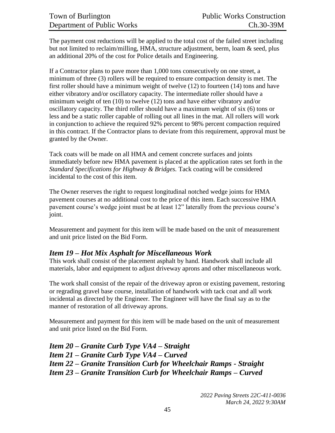The payment cost reductions will be applied to the total cost of the failed street including but not limited to reclaim/milling, HMA, structure adjustment, berm, loam & seed, plus an additional 20% of the cost for Police details and Engineering.

If a Contractor plans to pave more than 1,000 tons consecutively on one street, a minimum of three (3) rollers will be required to ensure compaction density is met. The first roller should have a minimum weight of twelve (12) to fourteen (14) tons and have either vibratory and/or oscillatory capacity. The intermediate roller should have a minimum weight of ten (10) to twelve (12) tons and have either vibratory and/or oscillatory capacity. The third roller should have a maximum weight of six (6) tons or less and be a static roller capable of rolling out all lines in the mat. All rollers will work in conjunction to achieve the required 92% percent to 98% percent compaction required in this contract. If the Contractor plans to deviate from this requirement, approval must be granted by the Owner.

Tack coats will be made on all HMA and cement concrete surfaces and joints immediately before new HMA pavement is placed at the application rates set forth in the *Standard Specifications for Highway & Bridges.* Tack coating will be considered incidental to the cost of this item.

The Owner reserves the right to request longitudinal notched wedge joints for HMA pavement courses at no additional cost to the price of this item. Each successive HMA pavement course's wedge joint must be at least 12" laterally from the previous course's joint.

Measurement and payment for this item will be made based on the unit of measurement and unit price listed on the Bid Form.

# *Item 19 – Hot Mix Asphalt for Miscellaneous Work*

This work shall consist of the placement asphalt by hand. Handwork shall include all materials, labor and equipment to adjust driveway aprons and other miscellaneous work.

The work shall consist of the repair of the driveway apron or existing pavement, restoring or regrading gravel base course, installation of handwork with tack coat and all work incidental as directed by the Engineer. The Engineer will have the final say as to the manner of restoration of all driveway aprons.

Measurement and payment for this item will be made based on the unit of measurement and unit price listed on the Bid Form.

*Item 20 – Granite Curb Type VA4 – Straight Item 21 – Granite Curb Type VA4 – Curved Item 22 – Granite Transition Curb for Wheelchair Ramps - Straight Item 23 – Granite Transition Curb for Wheelchair Ramps – Curved*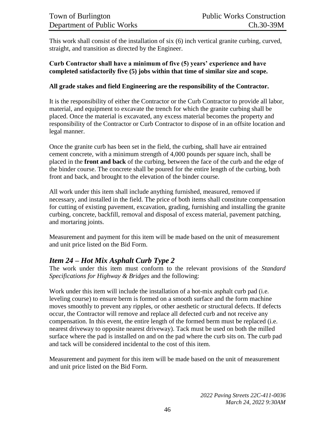This work shall consist of the installation of six (6) inch vertical granite curbing, curved, straight, and transition as directed by the Engineer.

#### **Curb Contractor shall have a minimum of five (5) years' experience and have completed satisfactorily five (5) jobs within that time of similar size and scope.**

#### **All grade stakes and field Engineering are the responsibility of the Contractor.**

It is the responsibility of either the Contractor or the Curb Contractor to provide all labor, material, and equipment to excavate the trench for which the granite curbing shall be placed. Once the material is excavated, any excess material becomes the property and responsibility of the Contractor or Curb Contractor to dispose of in an offsite location and legal manner.

Once the granite curb has been set in the field, the curbing, shall have air entrained cement concrete, with a minimum strength of 4,000 pounds per square inch, shall be placed in the **front and back** of the curbing, between the face of the curb and the edge of the binder course. The concrete shall be poured for the entire length of the curbing, both front and back, and brought to the elevation of the binder course.

All work under this item shall include anything furnished, measured, removed if necessary, and installed in the field. The price of both items shall constitute compensation for cutting of existing pavement, excavation, grading, furnishing and installing the granite curbing, concrete, backfill, removal and disposal of excess material, pavement patching, and mortaring joints.

Measurement and payment for this item will be made based on the unit of measurement and unit price listed on the Bid Form.

# *Item 24 – Hot Mix Asphalt Curb Type 2*

The work under this item must conform to the relevant provisions of the *Standard Specifications for Highway & Bridges* and the following:

Work under this item will include the installation of a hot-mix asphalt curb pad (i.e. leveling course) to ensure berm is formed on a smooth surface and the form machine moves smoothly to prevent any ripples, or other aesthetic or structural defects. If defects occur, the Contractor will remove and replace all defected curb and not receive any compensation. In this event, the entire length of the formed berm must be replaced (i.e. nearest driveway to opposite nearest driveway). Tack must be used on both the milled surface where the pad is installed on and on the pad where the curb sits on. The curb pad and tack will be considered incidental to the cost of this item.

Measurement and payment for this item will be made based on the unit of measurement and unit price listed on the Bid Form.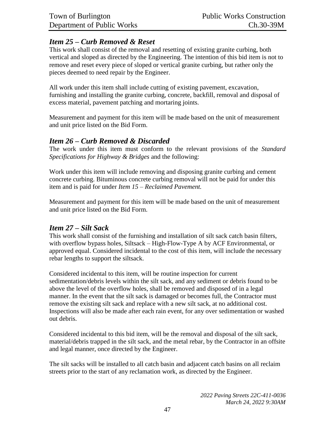# *Item 25 – Curb Removed & Reset*

This work shall consist of the removal and resetting of existing granite curbing, both vertical and sloped as directed by the Engineering. The intention of this bid item is not to remove and reset every piece of sloped or vertical granite curbing, but rather only the pieces deemed to need repair by the Engineer.

All work under this item shall include cutting of existing pavement, excavation, furnishing and installing the granite curbing, concrete, backfill, removal and disposal of excess material, pavement patching and mortaring joints.

Measurement and payment for this item will be made based on the unit of measurement and unit price listed on the Bid Form.

# *Item 26 – Curb Removed & Discarded*

The work under this item must conform to the relevant provisions of the *Standard Specifications for Highway & Bridges* and the following:

Work under this item will include removing and disposing granite curbing and cement concrete curbing. Bituminous concrete curbing removal will not be paid for under this item and is paid for under *Item 15 – Reclaimed Pavement.*

Measurement and payment for this item will be made based on the unit of measurement and unit price listed on the Bid Form.

#### *Item 27 – Silt Sack*

This work shall consist of the furnishing and installation of silt sack catch basin filters, with overflow bypass holes, Siltsack – High-Flow-Type A by ACF Environmental, or approved equal. Considered incidental to the cost of this item, will include the necessary rebar lengths to support the siltsack.

Considered incidental to this item, will be routine inspection for current sedimentation/debris levels within the silt sack, and any sediment or debris found to be above the level of the overflow holes, shall be removed and disposed of in a legal manner. In the event that the silt sack is damaged or becomes full, the Contractor must remove the existing silt sack and replace with a new silt sack, at no additional cost. Inspections will also be made after each rain event, for any over sedimentation or washed out debris.

Considered incidental to this bid item, will be the removal and disposal of the silt sack, material/debris trapped in the silt sack, and the metal rebar, by the Contractor in an offsite and legal manner, once directed by the Engineer.

The silt sacks will be installed to all catch basin and adjacent catch basins on all reclaim streets prior to the start of any reclamation work, as directed by the Engineer.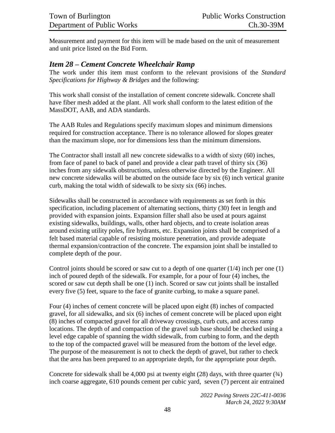Measurement and payment for this item will be made based on the unit of measurement and unit price listed on the Bid Form.

# *Item 28 – Cement Concrete Wheelchair Ramp*

The work under this item must conform to the relevant provisions of the *Standard Specifications for Highway & Bridges* and the following:

This work shall consist of the installation of cement concrete sidewalk. Concrete shall have fiber mesh added at the plant. All work shall conform to the latest edition of the MassDOT, AAB, and ADA standards.

The AAB Rules and Regulations specify maximum slopes and minimum dimensions required for construction acceptance. There is no tolerance allowed for slopes greater than the maximum slope, nor for dimensions less than the minimum dimensions.

The Contractor shall install all new concrete sidewalks to a width of sixty (60) inches, from face of panel to back of panel and provide a clear path travel of thirty six (36) inches from any sidewalk obstructions, unless otherwise directed by the Engineer. All new concrete sidewalks will be abutted on the outside face by six (6) inch vertical granite curb, making the total width of sidewalk to be sixty six (66) inches.

Sidewalks shall be constructed in accordance with requirements as set forth in this specification, including placement of alternating sections, thirty (30) feet in length and provided with expansion joints. Expansion filler shall also be used at pours against existing sidewalks, buildings, walls, other hard objects, and to create isolation areas around existing utility poles, fire hydrants, etc. Expansion joints shall be comprised of a felt based material capable of resisting moisture penetration, and provide adequate thermal expansion/contraction of the concrete. The expansion joint shall be installed to complete depth of the pour.

Control joints should be scored or saw cut to a depth of one quarter  $(1/4)$  inch per one  $(1)$ inch of poured depth of the sidewalk. For example, for a pour of four (4) inches, the scored or saw cut depth shall be one (1) inch. Scored or saw cut joints shall be installed every five (5) feet, square to the face of granite curbing, to make a square panel.

Four (4) inches of cement concrete will be placed upon eight (8) inches of compacted gravel, for all sidewalks, and six (6) inches of cement concrete will be placed upon eight (8) inches of compacted gravel for all driveway crossings, curb cuts, and access ramp locations. The depth of and compaction of the gravel sub base should be checked using a level edge capable of spanning the width sidewalk, from curbing to form, and the depth to the top of the compacted gravel will be measured from the bottom of the level edge. The purpose of the measurement is not to check the depth of gravel, but rather to check that the area has been prepared to an appropriate depth, for the appropriate pour depth.

Concrete for sidewalk shall be 4,000 psi at twenty eight (28) days, with three quarter  $(\frac{3}{4})$ inch coarse aggregate, 610 pounds cement per cubic yard, seven (7) percent air entrained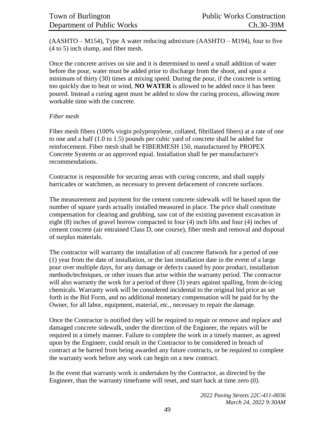(AASHTO – M154), Type A water reducing admixture (AASHTO – M194), four to five (4 to 5) inch slump, and fiber mesh.

Once the concrete arrives on site and it is determined to need a small addition of water before the pour, water must be added prior to discharge from the shoot, and spun a minimum of thirty (30) times at mixing speed. During the pour, if the concrete is setting too quickly due to heat or wind, **NO WATER** is allowed to be added once it has been poured. Instead a curing agent must be added to slow the curing process, allowing more workable time with the concrete.

#### *Fiber mesh*

Fiber mesh fibers (100% virgin polypropylene, collated, fibrillated fibers) at a rate of one to one and a half (1.0 to 1.5) pounds per cubic yard of concrete shall be added for reinforcement. Fiber mesh shall be FIBERMESH 150, manufactured by PROPEX Concrete Systems or an approved equal. Installation shall be per manufacturer's recommendations.

Contractor is responsible for securing areas with curing concrete, and shall supply barricades or watchmen, as necessary to prevent defacement of concrete surfaces.

The measurement and payment for the cement concrete sidewalk will be based upon the number of square yards actually installed measured in place. The price shall constitute compensation for clearing and grubbing, saw cut of the existing pavement excavation in eight (8) inches of gravel borrow compacted in four (4) inch lifts and four (4) inches of cement concrete (air entrained Class D, one course), fiber mesh and removal and disposal of surplus materials.

The contractor will warranty the installation of all concrete flatwork for a period of one (1) year from the date of installation, or the last installation date in the event of a large pour over multiple days, for any damage or defects caused by poor product, installation methods/techniques, or other issues that arise within the warranty period. The contractor will also warranty the work for a period of three (3) years against spalling, from de-icing chemicals. Warranty work will be considered incidental to the original bid price as set forth in the Bid Form, and no additional monetary compensation will be paid for by the Owner, for all labor, equipment, material, etc., necessary to repair the damage.

Once the Contractor is notified they will be required to repair or remove and replace and damaged concrete sidewalk, under the direction of the Engineer, the repairs will be required in a timely manner. Failure to complete the work in a timely manner, as agreed upon by the Engineer, could result in the Contractor to be considered in breach of contract at be barred from being awarded any future contracts, or be required to complete the warranty work before any work can begin on a new contract.

In the event that warranty work is undertaken by the Contractor, as directed by the Engineer, than the warranty timeframe will reset, and start back at time zero (0).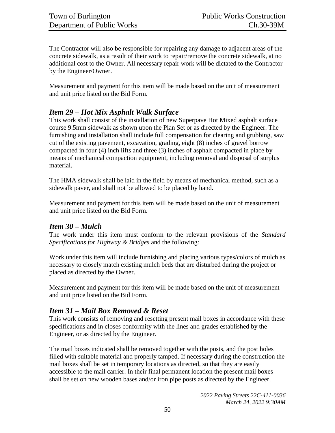The Contractor will also be responsible for repairing any damage to adjacent areas of the concrete sidewalk, as a result of their work to repair/remove the concrete sidewalk, at no additional cost to the Owner. All necessary repair work will be dictated to the Contractor by the Engineer/Owner.

Measurement and payment for this item will be made based on the unit of measurement and unit price listed on the Bid Form.

# *Item 29 – Hot Mix Asphalt Walk Surface*

This work shall consist of the installation of new Superpave Hot Mixed asphalt surface course 9.5mm sidewalk as shown upon the Plan Set or as directed by the Engineer. The furnishing and installation shall include full compensation for clearing and grubbing, saw cut of the existing pavement, excavation, grading, eight (8) inches of gravel borrow compacted in four (4) inch lifts and three (3) inches of asphalt compacted in place by means of mechanical compaction equipment, including removal and disposal of surplus material.

The HMA sidewalk shall be laid in the field by means of mechanical method, such as a sidewalk paver, and shall not be allowed to be placed by hand.

Measurement and payment for this item will be made based on the unit of measurement and unit price listed on the Bid Form.

#### *Item 30 – Mulch*

The work under this item must conform to the relevant provisions of the *Standard Specifications for Highway & Bridges* and the following:

Work under this item will include furnishing and placing various types/colors of mulch as necessary to closely match existing mulch beds that are disturbed during the project or placed as directed by the Owner.

Measurement and payment for this item will be made based on the unit of measurement and unit price listed on the Bid Form.

# *Item 31 – Mail Box Removed & Reset*

This work consists of removing and resetting present mail boxes in accordance with these specifications and in closes conformity with the lines and grades established by the Engineer, or as directed by the Engineer.

The mail boxes indicated shall be removed together with the posts, and the post holes filled with suitable material and properly tamped. If necessary during the construction the mail boxes shall be set in temporary locations as directed, so that they are easily accessible to the mail carrier. In their final permanent location the present mail boxes shall be set on new wooden bases and/or iron pipe posts as directed by the Engineer.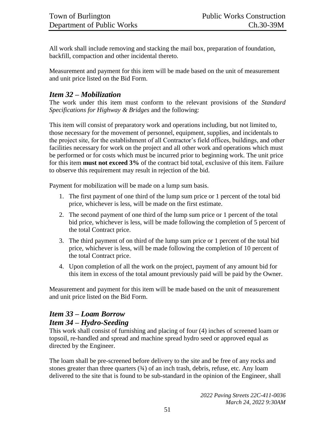All work shall include removing and stacking the mail box, preparation of foundation, backfill, compaction and other incidental thereto.

Measurement and payment for this item will be made based on the unit of measurement and unit price listed on the Bid Form.

# *Item 32 – Mobilization*

The work under this item must conform to the relevant provisions of the *Standard Specifications for Highway & Bridges* and the following:

This item will consist of preparatory work and operations including, but not limited to, those necessary for the movement of personnel, equipment, supplies, and incidentals to the project site, for the establishment of all Contractor's field offices, buildings, and other facilities necessary for work on the project and all other work and operations which must be performed or for costs which must be incurred prior to beginning work. The unit price for this item **must not exceed 3%** of the contract bid total, exclusive of this item. Failure to observe this requirement may result in rejection of the bid.

Payment for mobilization will be made on a lump sum basis.

- 1. The first payment of one third of the lump sum price or 1 percent of the total bid price, whichever is less, will be made on the first estimate.
- 2. The second payment of one third of the lump sum price or 1 percent of the total bid price, whichever is less, will be made following the completion of 5 percent of the total Contract price.
- 3. The third payment of on third of the lump sum price or 1 percent of the total bid price, whichever is less, will be made following the completion of 10 percent of the total Contract price.
- 4. Upon completion of all the work on the project, payment of any amount bid for this item in excess of the total amount previously paid will be paid by the Owner.

Measurement and payment for this item will be made based on the unit of measurement and unit price listed on the Bid Form.

# *Item 33 – Loam Borrow Item 34 – Hydro-Seeding*

This work shall consist of furnishing and placing of four (4) inches of screened loam or topsoil, re-handled and spread and machine spread hydro seed or approved equal as directed by the Engineer.

The loam shall be pre-screened before delivery to the site and be free of any rocks and stones greater than three quarters  $(34)$  of an inch trash, debris, refuse, etc. Any loam delivered to the site that is found to be sub-standard in the opinion of the Engineer, shall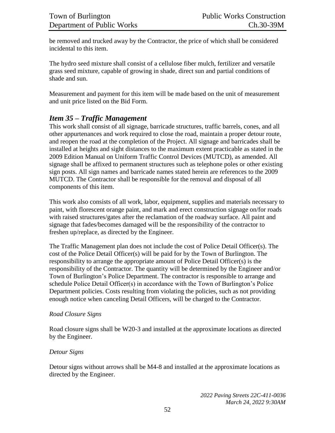be removed and trucked away by the Contractor, the price of which shall be considered incidental to this item.

The hydro seed mixture shall consist of a cellulose fiber mulch, fertilizer and versatile grass seed mixture, capable of growing in shade, direct sun and partial conditions of shade and sun.

Measurement and payment for this item will be made based on the unit of measurement and unit price listed on the Bid Form.

# *Item 35 – Traffic Management*

This work shall consist of all signage, barricade structures, traffic barrels, cones, and all other appurtenances and work required to close the road, maintain a proper detour route, and reopen the road at the completion of the Project. All signage and barricades shall be installed at heights and sight distances to the maximum extent practicable as stated in the 2009 Edition Manual on Uniform Traffic Control Devices (MUTCD), as amended. All signage shall be affixed to permanent structures such as telephone poles or other existing sign posts. All sign names and barricade names stated herein are references to the 2009 MUTCD. The Contractor shall be responsible for the removal and disposal of all components of this item.

This work also consists of all work, labor, equipment, supplies and materials necessary to paint, with florescent orange paint, and mark and erect construction signage on/for roads with raised structures/gates after the reclamation of the roadway surface. All paint and signage that fades/becomes damaged will be the responsibility of the contractor to freshen up/replace, as directed by the Engineer.

The Traffic Management plan does not include the cost of Police Detail Officer(s). The cost of the Police Detail Officer(s) will be paid for by the Town of Burlington. The responsibility to arrange the appropriate amount of Police Detail Officer(s) is the responsibility of the Contractor. The quantity will be determined by the Engineer and/or Town of Burlington's Police Department. The contractor is responsible to arrange and schedule Police Detail Officer(s) in accordance with the Town of Burlington's Police Department policies. Costs resulting from violating the policies, such as not providing enough notice when canceling Detail Officers, will be charged to the Contractor.

#### *Road Closure Signs*

Road closure signs shall be W20-3 and installed at the approximate locations as directed by the Engineer.

#### *Detour Signs*

Detour signs without arrows shall be M4-8 and installed at the approximate locations as directed by the Engineer.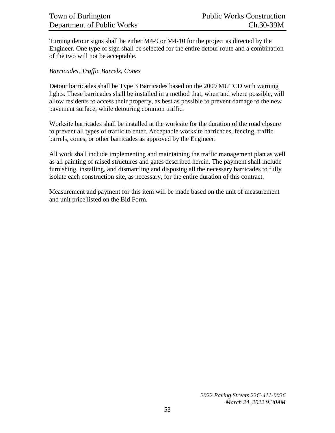Turning detour signs shall be either M4-9 or M4-10 for the project as directed by the Engineer. One type of sign shall be selected for the entire detour route and a combination of the two will not be acceptable.

#### *Barricades, Traffic Barrels, Cones*

Detour barricades shall be Type 3 Barricades based on the 2009 MUTCD with warning lights. These barricades shall be installed in a method that, when and where possible, will allow residents to access their property, as best as possible to prevent damage to the new pavement surface, while detouring common traffic.

Worksite barricades shall be installed at the worksite for the duration of the road closure to prevent all types of traffic to enter. Acceptable worksite barricades, fencing, traffic barrels, cones, or other barricades as approved by the Engineer.

All work shall include implementing and maintaining the traffic management plan as well as all painting of raised structures and gates described herein. The payment shall include furnishing, installing, and dismantling and disposing all the necessary barricades to fully isolate each construction site, as necessary, for the entire duration of this contract.

Measurement and payment for this item will be made based on the unit of measurement and unit price listed on the Bid Form.